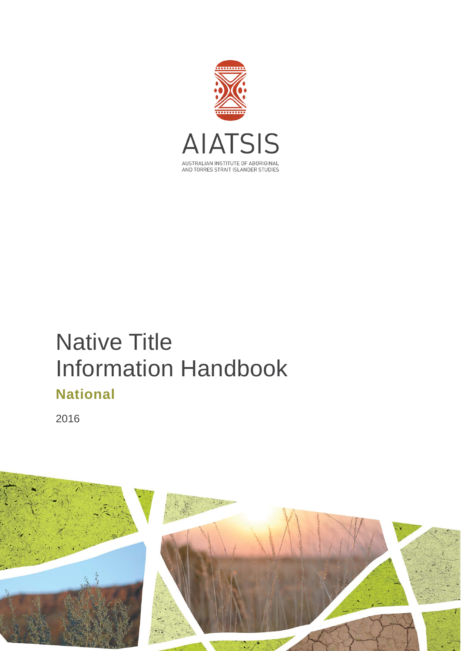

# Native Title Information Handbook **National**

2016

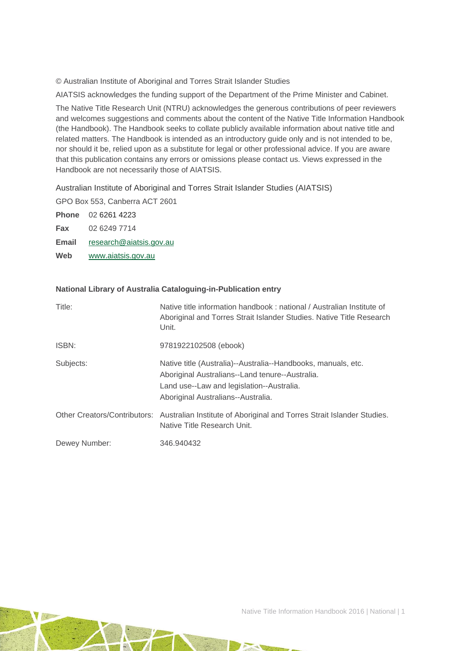© Australian Institute of Aboriginal and Torres Strait Islander Studies

AIATSIS acknowledges the funding support of the Department of the Prime Minister and Cabinet.

The Native Title Research Unit (NTRU) acknowledges the generous contributions of peer reviewers and welcomes suggestions and comments about the content of the Native Title Information Handbook (the Handbook). The Handbook seeks to collate publicly available information about native title and related matters. The Handbook is intended as an introductory guide only and is not intended to be, nor should it be, relied upon as a substitute for legal or other professional advice. If you are aware that this publication contains any errors or omissions please contact us. Views expressed in the Handbook are not necessarily those of AIATSIS.

Australian Institute of Aboriginal and Torres Strait Islander Studies (AIATSIS)

GPO Box 553, Canberra ACT 2601

**Phone** 02 6261 4223 **Fax** 02 6249 7714 **Email** [research@aiatsis.gov.au](mailto:research@aiatsis.gov.au) **Web** [www.aiatsis.gov.au](http://www.aiatsis.gov.au/) 

#### **National Library of Australia Cataloguing-in-Publication entry**

| Title:        | Native title information handbook: national / Australian Institute of<br>Aboriginal and Torres Strait Islander Studies. Native Title Research<br>Unit.                                              |
|---------------|-----------------------------------------------------------------------------------------------------------------------------------------------------------------------------------------------------|
| ISBN:         | 9781922102508 (ebook)                                                                                                                                                                               |
| Subjects:     | Native title (Australia)--Australia--Handbooks, manuals, etc.<br>Aboriginal Australians--Land tenure--Australia.<br>Land use--Law and legislation--Australia.<br>Aboriginal Australians--Australia. |
|               | Other Creators/Contributors: Australian Institute of Aboriginal and Torres Strait Islander Studies.<br>Native Title Research Unit.                                                                  |
| Dewey Number: | 346.940432                                                                                                                                                                                          |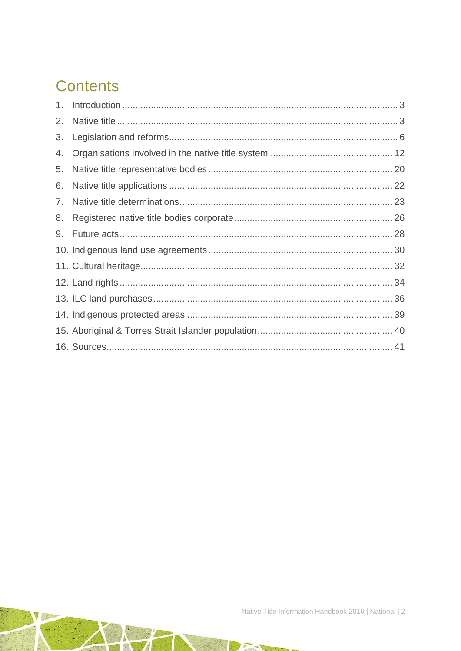## **Contents**

| 2. |  |
|----|--|
| 3. |  |
| 4. |  |
| 5. |  |
| 6. |  |
| 7. |  |
| 8. |  |
| 9. |  |
|    |  |
|    |  |
|    |  |
|    |  |
|    |  |
|    |  |
|    |  |

**Card**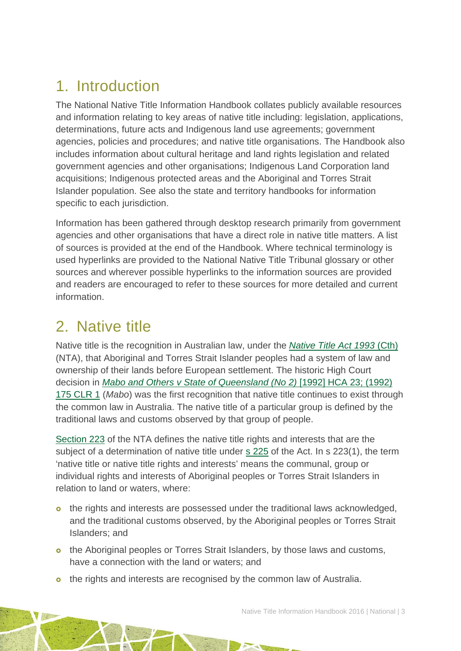## <span id="page-3-0"></span>1. Introduction

The National Native Title Information Handbook collates publicly available resources and information relating to key areas of native title including: legislation, applications, determinations, future acts and Indigenous land use agreements; government agencies, policies and procedures; and native title organisations. The Handbook also includes information about cultural heritage and land rights legislation and related government agencies and other organisations; Indigenous Land Corporation land acquisitions; Indigenous protected areas and the Aboriginal and Torres Strait Islander population. See also the state and territory handbooks for information specific to each jurisdiction.

Information has been gathered through desktop research primarily from government agencies and other organisations that have a direct role in native title matters. A list of sources is provided at the end of the Handbook. Where technical terminology is used hyperlinks are provided to the National Native Title Tribunal glossary or other sources and wherever possible hyperlinks to the information sources are provided and readers are encouraged to refer to these sources for more detailed and current information.

## <span id="page-3-1"></span>2. Native title

Native title is the recognition in Australian law, under the *[Native Title Act 1993](http://www.austlii.edu.au/au/legis/cth/consol_act/nta1993147/)* (Cth) (NTA), that Aboriginal and Torres Strait Islander peoples had a system of law and ownership of their lands before European settlement. The historic High Court decision in *[Mabo and Others v State of Queensland \(No 2\)](http://www.austlii.edu.au/au/cases/cth/HCA/1992/23.html)* [1992] HCA 23; (1992) [175 CLR 1](http://www.austlii.edu.au/au/cases/cth/HCA/1992/23.html) (*Mabo*) was the first recognition that native title continues to exist through the common law in Australia. The native title of a particular group is defined by the traditional laws and customs observed by that group of people.

[Section 223](http://www.austlii.edu.au/au/legis/cth/consol_act/nta1993147/s223.html) of the NTA defines the native title rights and interests that are the subject of a determination of native title under [s 225](http://www.austlii.edu.au/au/legis/cth/consol_act/nta1993147/s225.html) of the Act. In s 223(1), the term 'native title or native title rights and interests' means the communal, group or individual rights and interests of Aboriginal peoples or Torres Strait Islanders in relation to land or waters, where:

- o the rights and interests are possessed under the traditional laws acknowledged, and the traditional customs observed, by the Aboriginal peoples or Torres Strait Islanders; and
- o the Aboriginal peoples or Torres Strait Islanders, by those laws and customs, have a connection with the land or waters; and
- o the rights and interests are recognised by the common law of Australia.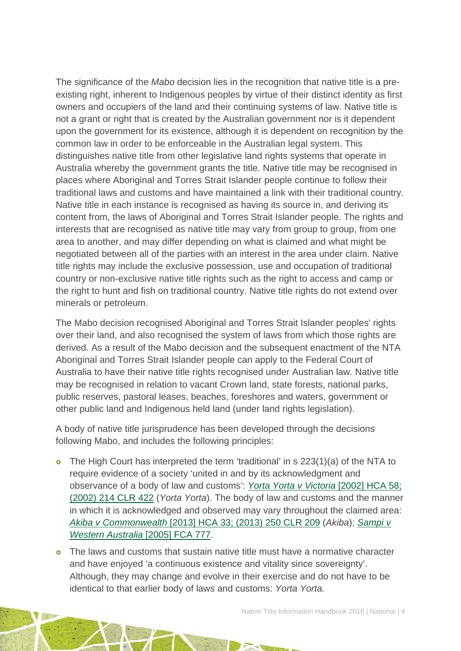The significance of the *Mabo* decision lies in the recognition that native title is a preexisting right, inherent to Indigenous peoples by virtue of their distinct identity as first owners and occupiers of the land and their continuing systems of law. Native title is not a grant or right that is created by the Australian government nor is it dependent upon the government for its existence, although it is dependent on recognition by the common law in order to be enforceable in the Australian legal system. This distinguishes native title from other legislative land rights systems that operate in Australia whereby the government grants the title. Native title may be recognised in places where Aboriginal and Torres Strait Islander people continue to follow their traditional laws and customs and have maintained a link with their traditional country. Native title in each instance is recognised as having its source in, and deriving its content from, the laws of Aboriginal and Torres Strait Islander people. The rights and interests that are recognised as native title may vary from group to group, from one area to another, and may differ depending on what is claimed and what might be negotiated between all of the parties with an interest in the area under claim. Native title rights may include the exclusive possession, use and occupation of traditional country or non-exclusive native title rights such as the right to access and camp or the right to hunt and fish on traditional country. Native title rights do not extend over minerals or petroleum.

The Mabo decision recognised Aboriginal and Torres Strait Islander peoples' rights over their land, and also recognised the system of laws from which those rights are derived. As a result of the Mabo decision and the subsequent enactment of the NTA Aboriginal and Torres Strait Islander people can apply to the Federal Court of Australia to have their native title rights recognised under Australian law. Native title may be recognised in relation to vacant Crown land, state forests, national parks, public reserves, pastoral leases, beaches, foreshores and waters, government or other public land and Indigenous held land (under land rights legislation).

A body of native title jurisprudence has been developed through the decisions following Mabo, and includes the following principles:

o The High Court has interpreted the term 'traditional' in s 223(1)(a) of the NTA to require evidence of a society 'united in and by its acknowledgment and observance of a body of law and customs': *[Yorta Yorta v Victoria](http://www.austlii.edu.au/au/cases/cth/HCA/2002/58.html)* [2002] HCA 58; [\(2002\) 214 CLR 422](http://www.austlii.edu.au/au/cases/cth/HCA/2002/58.html) (*Yorta Yorta*). The body of law and customs and the manner in which it is acknowledged and observed may vary throughout the claimed area: *Akiba v Commonwealth* [\[2013\] HCA 33; \(2013\) 250 CLR 209](http://www.austlii.edu.au/au/cases/cth/HCA/2013/33.html) (*Akiba*); *[Sampi v](http://www.austlii.edu.au/au/cases/cth/FCA/2005/777.html)  [Western Australia](http://www.austlii.edu.au/au/cases/cth/FCA/2005/777.html)* [2005] FCA 777.

 The laws and customs that sustain native title must have a normative character and have enjoyed 'a continuous existence and vitality since sovereignty'. Although, they may change and evolve in their exercise and do not have to be identical to that earlier body of laws and customs: *Yorta Yorta.*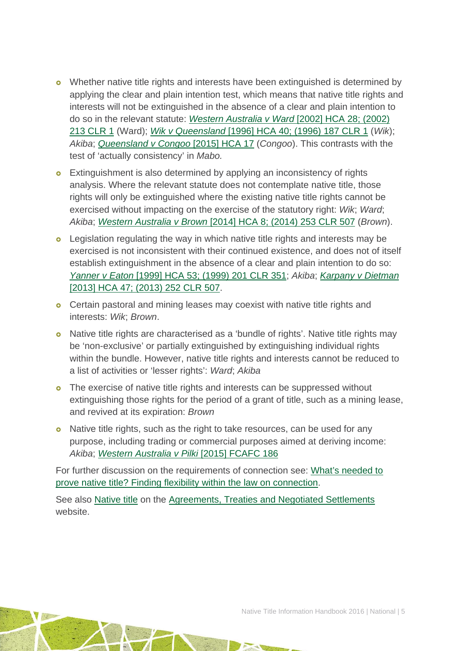- o Whether native title rights and interests have been extinguished is determined by applying the clear and plain intention test, which means that native title rights and interests will not be extinguished in the absence of a clear and plain intention to do so in the relevant statute: *[Western Australia v Ward](http://www.austlii.edu.au/cgi-bin/sinodisp/au/cases/cth/HCA/2002/28.html)* [2002] HCA 28; (2002) [213 CLR 1](http://www.austlii.edu.au/cgi-bin/sinodisp/au/cases/cth/HCA/2002/28.html) (Ward); *Wik v Queensland* [1996] HCA 40; (1996) 187 CLR 1 (*Wik*); *Akiba*; *[Queensland v Congoo](http://eresources.hcourt.gov.au/showCase/2015/HCA/17)* [2015] HCA 17 (*Congoo*). This contrasts with the test of 'actually consistency' in *Mabo.*
- **o** Extinguishment is also determined by applying an inconsistency of rights analysis. Where the relevant statute does not contemplate native title, those rights will only be extinguished where the existing native title rights cannot be exercised without impacting on the exercise of the statutory right: *Wik*; *Ward*; *Akiba*; *Western Australia v Brown* [\[2014\] HCA 8; \(2014\) 253 CLR 507](http://www.austlii.edu.au/au/cases/cth/HCA/2014/8.html) (*Brown*).
- **o** Legislation regulating the way in which native title rights and interests may be exercised is not inconsistent with their continued existence, and does not of itself establish extinguishment in the absence of a clear and plain intention to do so: *Yanner v Eaton* [\[1999\] HCA 53; \(1999\) 201 CLR 351;](http://www.austlii.edu.au/cgi-bin/sinodisp/au/cases/cth/HCA/1999/53.html?query=%5eYanner) *Akiba*; *[Karpany v Dietman](http://www.austlii.edu.au/au/cases/cth/HCA/2013/47.html)*  [\[2013\] HCA 47; \(2013\) 252 CLR 507.](http://www.austlii.edu.au/au/cases/cth/HCA/2013/47.html)
- **o** Certain pastoral and mining leases may coexist with native title rights and interests: *Wik*; *Brown*.
- Native title rights are characterised as a 'bundle of rights'. Native title rights may be 'non-exclusive' or partially extinguished by extinguishing individual rights within the bundle. However, native title rights and interests cannot be reduced to a list of activities or 'lesser rights': *Ward*; *Akiba*
- **o** The exercise of native title rights and interests can be suppressed without extinguishing those rights for the period of a grant of title, such as a mining lease, and revived at its expiration: *Brown*
- **o** Native title rights, such as the right to take resources, can be used for any purpose, including trading or commercial purposes aimed at deriving income: *Akiba*; *[Western Australia v Pilki](http://www.austlii.edu.au/au/cases/cth/FCAFC/2015/186.html)* [2015] FCAFC 186

For further discussion on the requirements of connection see: [What's needed to](http://aiatsis.gov.au/publications/products/whats-needed-prove-native-title-finding-flexibility-within-law-connection)  [prove native title? Finding flexibility within the law on connection.](http://aiatsis.gov.au/publications/products/whats-needed-prove-native-title-finding-flexibility-within-law-connection)

See also [Native title](http://www.atns.net.au/extglossary.asp?GlossaryID=230) on the [Agreements, Treaties and Negotiated Settlements](http://www.atns.net.au/) website.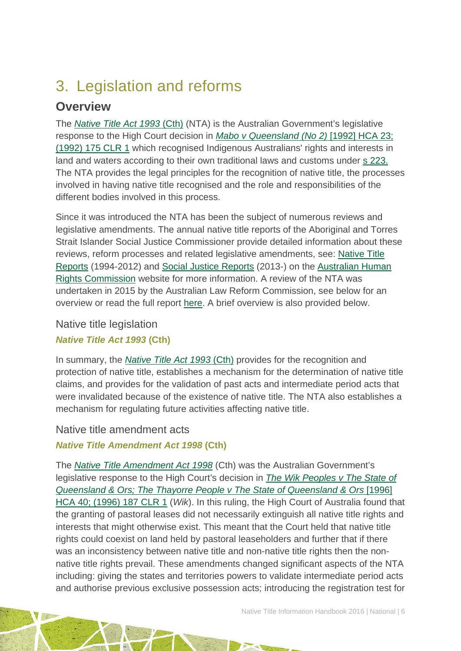## <span id="page-6-0"></span>3. Legislation and reforms

### **Overview**

The *[Native Title Act 1993](http://www.austlii.edu.au/au/legis/cth/consol_act/nta1993147/)* (Cth) (NTA) is the Australian Government's legislative response to the High Court decision in *[Mabo v Queensland \(No 2\)](http://www.austlii.edu.au/au/cases/cth/HCA/1992/23.html)* [1992] HCA 23; [\(1992\) 175 CLR 1](http://www.austlii.edu.au/au/cases/cth/HCA/1992/23.html) which recognised Indigenous Australians' rights and interests in land and waters according to their own traditional laws and customs under s [223.](http://www.austlii.edu.au/au/legis/cth/consol_act/nta1993147/s223.html) The NTA provides the legal principles for the recognition of native title, the processes involved in having native title recognised and the role and responsibilities of the different bodies involved in this process.

Since it was introduced the NTA has been the subject of numerous reviews and legislative amendments. The annual native title reports of the Aboriginal and Torres Strait Islander Social Justice Commissioner provide detailed information about these reviews, reform processes and related legislative amendments, see: [Native Title](https://www.humanrights.gov.au/our-work/aboriginal-and-torres-strait-islander-social-justice/publications/native-title-reports)  [Reports](https://www.humanrights.gov.au/our-work/aboriginal-and-torres-strait-islander-social-justice/publications/native-title-reports) (1994-2012) and [Social Justice Reports](https://www.humanrights.gov.au/our-work/aboriginal-and-torres-strait-islander-social-justice/projects/social-justice-and-native) (2013-) on the [Australian Human](https://www.humanrights.gov.au/)  [Rights Commission](https://www.humanrights.gov.au/) website for more information. A review of the NTA was undertaken in 2015 by the Australian Law Reform Commission, see below for an overview or read the full report [here.](https://www.alrc.gov.au/publications/alrc126) A brief overview is also provided below.

#### Native title legislation

#### *Native Title Act 1993* **(Cth)**

In summary, the *[Native Title Act 1993](http://www.austlii.edu.au/au/legis/cth/consol_act/nta1993147/)* (Cth) provides for the recognition and protection of native title, establishes a mechanism for the determination of native title claims, and provides for the validation of past acts and intermediate period acts that were invalidated because of the existence of native title. The NTA also establishes a mechanism for regulating future activities affecting native title.

#### Native title amendment acts

#### *Native Title Amendment Act 1998* **(Cth)**

The *[Native Title Amendment Act 1998](http://www.austlii.edu.au/au/legis/cth/consol_act/ntaa1998227/)* (Cth) was the Australian Government's legislative response to the High Court's decision in *[The Wik Peoples v The State of](http://www.austlii.edu.au/au/cases/cth/HCA/1996/40.html)  [Queensland & Ors; The Thayorre People v The State of Queensland & Ors](http://www.austlii.edu.au/au/cases/cth/HCA/1996/40.html)* [1996] [HCA 40; \(1996\) 187 CLR 1](http://www.austlii.edu.au/au/cases/cth/HCA/1996/40.html) (*Wik*). In this ruling, the High Court of Australia found that the granting of pastoral leases did not necessarily extinguish all native title rights and interests that might otherwise exist. This meant that the Court held that native title rights could coexist on land held by pastoral leaseholders and further that if there was an inconsistency between native title and non-native title rights then the nonnative title rights prevail. These amendments changed significant aspects of the NTA including: giving the states and territories powers to validate intermediate period acts and authorise previous exclusive possession acts; introducing the registration test for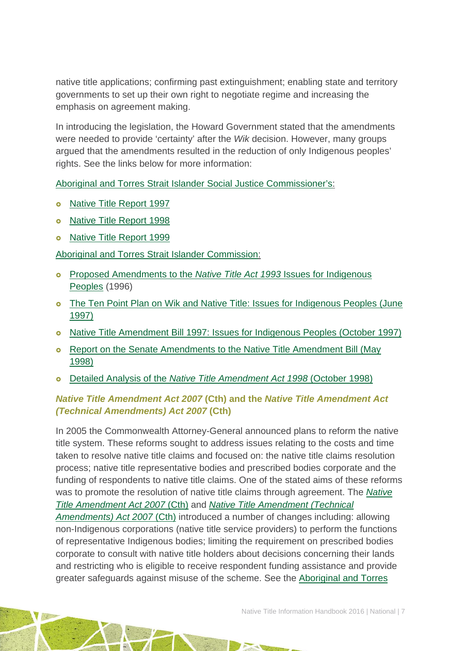native title applications; confirming past extinguishment; enabling state and territory governments to set up their own right to negotiate regime and increasing the emphasis on agreement making.

In introducing the legislation, the Howard Government stated that the amendments were needed to provide 'certainty' after the *Wik* decision. However, many groups argued that the amendments resulted in the reduction of only Indigenous peoples' rights. See the links below for more information:

[Aboriginal and Torres Strait Islander Social Justice Commissioner's:](http://www.hreoc.gov.au/social_justice/index.html)

- o [Native Title Report 1997](https://www.humanrights.gov.au/sites/default/files/content/pdf/social_justice/native_title_report_97.pdf)
- o [Native Title Report 1998](https://www.humanrights.gov.au/sites/default/files/content/pdf/social_justice/native_title_report_98.pdf)
- o [Native Title Report 1999](https://www.humanrights.gov.au/sites/default/files/content/pdf/social_justice/native_title_report_99.pdf)

[Aboriginal and Torres Strait Islander Commission:](http://pandora.nla.gov.au/pan/41033/20060106/ATSIC/default.html)

- [Proposed Amendments to the](http://pandora.nla.gov.au/pan/41033/20060106/ATSIC/issues/land/native_title/amend.html) *Native Title Act 1993* Issues for Indigenous [Peoples](http://pandora.nla.gov.au/pan/41033/20060106/ATSIC/issues/land/native_title/amend.html) (1996)
- **o** The Ten Point Plan on Wik and Native Title: Issues for Indigenous Peoples (June [1997\)](http://pandora.nla.gov.au/pan/41033/20060106/ATSIC/issues/land/native_title/10_point_WIK_plan.html)
- [Native Title Amendment Bill 1997: Issues for Indigenous Peoples \(October 1997\)](http://pandora.nla.gov.au/pan/41033/20060106/ATSIC/issues/land/native_title/Native_Title_Amendment_Bill_97/default.html)
- o Report on the Senate Amendments to the Native Title Amendment Bill (May [1998\)](http://pandora.nla.gov.au/pan/41033/20060106/ATSIC/issues/land/native_title/report_native_title_ammendment_bill.html)
- Detailed Analysis of the *[Native Title Amendment Act 1998](http://pandora.nla.gov.au/pan/41033/20060106/ATSIC/issues/land/native_title/detailed_analysis_of_the_native_.html)* (October 1998)

#### *Native Title Amendment Act 2007* **(Cth) and the** *Native Title Amendment Act (Technical Amendments) Act 2007* **(Cth)**

In 2005 the Commonwealth Attorney-General announced plans to reform the native title system. These reforms sought to address issues relating to the costs and time taken to resolve native title claims and focused on: the native title claims resolution process; native title representative bodies and prescribed bodies corporate and the funding of respondents to native title claims. One of the stated aims of these reforms was to promote the resolution of native title claims through agreement. The *[Native](https://www.comlaw.gov.au/Details/C2007A00061)  [Title Amendment Act 2007](https://www.comlaw.gov.au/Details/C2007A00061)* (Cth) and *[Native Title Amendment \(Technical](http://www5.austlii.edu.au/au/legis/cth/num_act/ntaaa2007391/)  [Amendments\) Act 2007](http://www5.austlii.edu.au/au/legis/cth/num_act/ntaaa2007391/)* (Cth) introduced a number of changes including: allowing non-Indigenous corporations (native title service providers) to perform the functions of representative Indigenous bodies; limiting the requirement on prescribed bodies corporate to consult with native title holders about decisions concerning their lands and restricting who is eligible to receive respondent funding assistance and provide greater safeguards against misuse of the scheme. See the [Aboriginal and Torres](http://www.hreoc.gov.au/social_justice/index.html)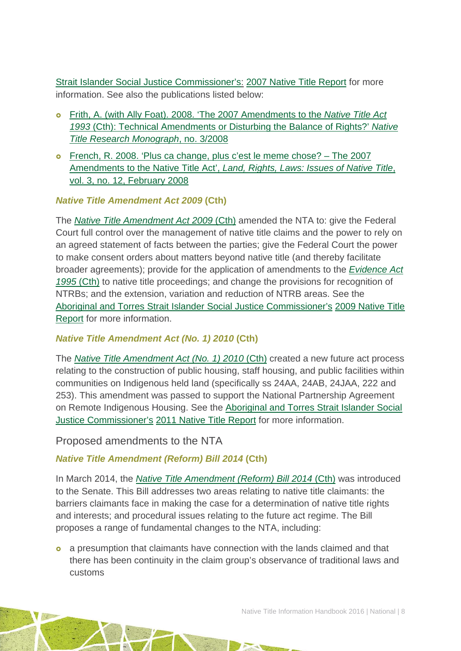[Strait Islander Social Justice Commissioner's:](http://www.hreoc.gov.au/social_justice/index.html) [2007 Native Title Report](hhttps://www.humanrights.gov.au/our-work/aboriginal-and-torres-strait-islander-social-justice/publications/native-title-report-2007) for more information. See also the publications listed below:

- Frith, A. (with Ally Foat). 2008. ['The 2007 Amendments to the](http://aiatsis.gov.au/publications/products/2007-amendments-native-title-act-1993-cth-technical-amendments-or-disturbing-balance-rights) *Native Title Act 1993* [\(Cth\): Technical Amendments or Disturbing the Balance of Rights?'](http://aiatsis.gov.au/publications/products/2007-amendments-native-title-act-1993-cth-technical-amendments-or-disturbing-balance-rights) *Native [Title Research Monograph](http://aiatsis.gov.au/publications/products/2007-amendments-native-title-act-1993-cth-technical-amendments-or-disturbing-balance-rights)*, no. 3/2008
- [French, R. 2008. 'Plus ca change, plus c'est le meme chose? –](http://aiatsis.gov.au/publications/products/plus-ca-change-plus-cest-la-meme-chose-2007-amendments-native-title-act) The 2007 Amendments to the Native Title Act', *[Land, Rights, Laws: Issues of Native Title](http://aiatsis.gov.au/publications/products/plus-ca-change-plus-cest-la-meme-chose-2007-amendments-native-title-act)*, [vol. 3, no. 12, February 2008](http://aiatsis.gov.au/publications/products/plus-ca-change-plus-cest-la-meme-chose-2007-amendments-native-title-act)

#### *Native Title Amendment Act 2009* **(Cth)**

The *[Native Title Amendment Act 2009](http://www.comlaw.gov.au/Details/C2009A00083)* (Cth) amended the NTA to: give the Federal Court full control over the management of native title claims and the power to rely on an agreed statement of facts between the parties; give the Federal Court the power to make consent orders about matters beyond native title (and thereby facilitate broader agreements); provide for the application of amendments to the *[Evidence Act](http://www5.austlii.edu.au/au/legis/cth/consol_act/ea199580/)  1995* [\(Cth\)](http://www5.austlii.edu.au/au/legis/cth/consol_act/ea199580/) to native title proceedings; and change the provisions for recognition of NTRBs; and the extension, variation and reduction of NTRB areas. See the [Aboriginal and Torres Strait Islander Social Justice Commissioner's](http://www.hreoc.gov.au/social_justice/index.html) 2009 [Native Title](https://www.humanrights.gov.au/our-work/aboriginal-and-torres-strait-islander-social-justice/publications/native-title-report-2009)  [Report](https://www.humanrights.gov.au/our-work/aboriginal-and-torres-strait-islander-social-justice/publications/native-title-report-2009) for more information.

#### *Native Title Amendment Act (No. 1) 2010* **(Cth)**

The *[Native Title Amendment Act \(No. 1\) 2010](http://www.comlaw.gov.au/Details/C2010A00144)* (Cth) created a new future act process relating to the construction of public housing, staff housing, and public facilities within communities on Indigenous held land (specifically ss 24AA, 24AB, 24JAA, 222 and 253). This amendment was passed to support the National Partnership Agreement on Remote Indigenous Housing. See the [Aboriginal and Torres Strait Islander Social](http://www.hreoc.gov.au/social_justice/index.html)  [Justice Commissioner's](http://www.hreoc.gov.au/social_justice/index.html) [2011 Native Title Report](https://www.humanrights.gov.au/our-work/aboriginal-and-torres-strait-islander-social-justice/publications/native-title-report-2011) for more information.

Proposed amendments to the NTA

#### *Native Title Amendment (Reform) Bill 2014* **(Cth)**

In March 2014, the *[Native Title Amendment \(Reform\) Bill 2014](http://www.comlaw.gov.au/Details/C2014B00018)* (Cth) was introduced to the Senate. This Bill addresses two areas relating to native title claimants: the barriers claimants face in making the case for a determination of native title rights and interests; and procedural issues relating to the future act regime. The Bill proposes a range of fundamental changes to the NTA, including:

 a presumption that claimants have connection with the lands claimed and that there has been continuity in the claim group's observance of traditional laws and customs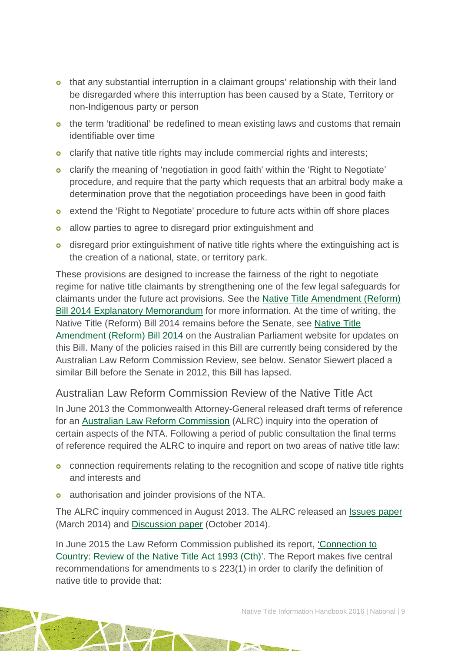- that any substantial interruption in a claimant groups' relationship with their land be disregarded where this interruption has been caused by a State, Territory or non-Indigenous party or person
- o the term 'traditional' be redefined to mean existing laws and customs that remain identifiable over time
- o clarify that native title rights may include commercial rights and interests;
- clarify the meaning of 'negotiation in good faith' within the 'Right to Negotiate' procedure, and require that the party which requests that an arbitral body make a determination prove that the negotiation proceedings have been in good faith
- **e** extend the 'Right to Negotiate' procedure to future acts within off shore places
- **o** allow parties to agree to disregard prior extinguishment and
- disregard prior extinguishment of native title rights where the extinguishing act is the creation of a national, state, or territory park.

These provisions are designed to increase the fairness of the right to negotiate regime for native title claimants by strengthening one of the few legal safeguards for claimants under the future act provisions. See the [Native Title Amendment \(Reform\)](http://www.comlaw.gov.au/Details/C2014B00018/Explanatory%20Memorandum/Text)  [Bill 2014 Explanatory Memorandum](http://www.comlaw.gov.au/Details/C2014B00018/Explanatory%20Memorandum/Text) for more information. At the time of writing, the Native Title (Reform) Bill 2014 remains before the Senate, see [Native Title](http://www.aph.gov.au/Parliamentary_Business/Bills_Legislation/Bills_Search_Results/Result?bId=s950)  [Amendment \(Reform\) Bill 2014](http://www.aph.gov.au/Parliamentary_Business/Bills_Legislation/Bills_Search_Results/Result?bId=s950) on the Australian Parliament website for updates on this Bill. Many of the policies raised in this Bill are currently being considered by the Australian Law Reform Commission Review, see below. Senator Siewert placed a similar Bill before the Senate in 2012, this Bill has lapsed.

#### Australian Law Reform Commission Review of the Native Title Act

In June 2013 the Commonwealth Attorney-General released draft terms of reference for an [Australian Law Reform Commission](http://www.alrc.gov.au/) (ALRC) inquiry into the operation of certain aspects of the NTA. Following a period of public consultation the final terms of reference required the ALRC to inquire and report on two areas of native title law:

- **o** connection requirements relating to the recognition and scope of native title rights and interests and
- **o** authorisation and joinder provisions of the NTA.

The ALRC inquiry commenced in August 2013. The ALRC released an [Issues paper](http://www.alrc.gov.au/publications/native-title-ip-45) (March 2014) and [Discussion paper](https://www.alrc.gov.au/publications/native-title-dp82) (October 2014).

In June 2015 the Law Reform Commission published its report, ['Connection to](https://www.alrc.gov.au/publications/alrc126)  [Country: Review of the Native Title Act 1993 \(Cth\)'.](https://www.alrc.gov.au/publications/alrc126) The Report makes five central recommendations for amendments to s 223(1) in order to clarify the definition of native title to provide that: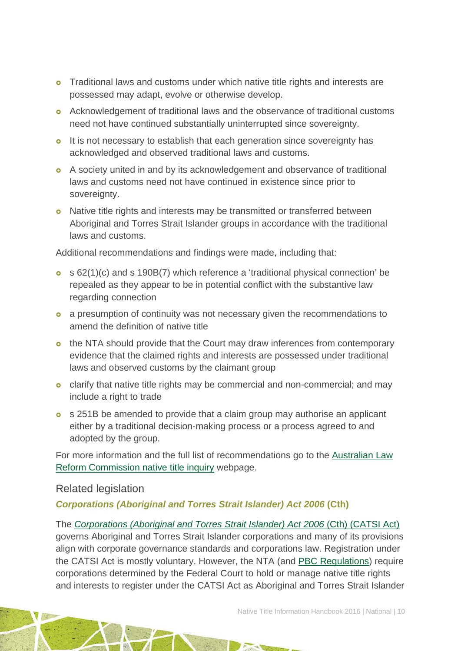- **o** Traditional laws and customs under which native title rights and interests are possessed may adapt, evolve or otherwise develop.
- Acknowledgement of traditional laws and the observance of traditional customs need not have continued substantially uninterrupted since sovereignty.
- o It is not necessary to establish that each generation since sovereignty has acknowledged and observed traditional laws and customs.
- A society united in and by its acknowledgement and observance of traditional laws and customs need not have continued in existence since prior to sovereignty.
- **o** Native title rights and interests may be transmitted or transferred between Aboriginal and Torres Strait Islander groups in accordance with the traditional laws and customs.

Additional recommendations and findings were made, including that:

- s 62(1)(c) and s 190B(7) which reference a 'traditional physical connection' be repealed as they appear to be in potential conflict with the substantive law regarding connection
- **a** a presumption of continuity was not necessary given the recommendations to amend the definition of native title
- o the NTA should provide that the Court may draw inferences from contemporary evidence that the claimed rights and interests are possessed under traditional laws and observed customs by the claimant group
- clarify that native title rights may be commercial and non-commercial; and may include a right to trade
- **o** s 251B be amended to provide that a claim group may authorise an applicant either by a traditional decision-making process or a process agreed to and adopted by the group.

For more information and the full list of recommendations go to the [Australian Law](http://www.ag.gov.au/Consultations/Pages/AustralianLawReformCommissionnativetitleinquiry.aspx)  [Reform Commission native title inquiry](http://www.ag.gov.au/Consultations/Pages/AustralianLawReformCommissionnativetitleinquiry.aspx) webpage.

#### Related legislation

#### *Corporations (Aboriginal and Torres Strait Islander) Act 2006* **(Cth)**

The *[Corporations \(Aboriginal and Torres Strait Islander\) Act 2006](http://www.austlii.edu.au/au/legis/cth/num_act/catsia2006510/)* (Cth) (CATSI Act) governs Aboriginal and Torres Strait Islander corporations and many of its provisions align with corporate governance standards and corporations law. Registration under the CATSI Act is mostly voluntary. However, the NTA (and [PBC Regulations\)](http://www.austlii.edu.au/au/legis/cth/consol_reg/ntbcr1999495/) require corporations determined by the Federal Court to hold or manage native title rights and interests to register under the CATSI Act as Aboriginal and Torres Strait Islander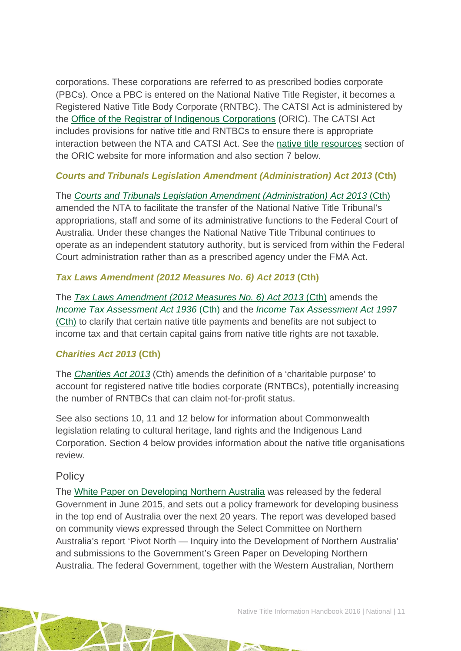corporations. These corporations are referred to as prescribed bodies corporate (PBCs). Once a PBC is entered on the National Native Title Register, it becomes a Registered Native Title Body Corporate (RNTBC). The CATSI Act is administered by the [Office of the Registrar of Indigenous Corporations](http://www.oric.gov.au/) (ORIC). The CATSI Act includes provisions for native title and RNTBCs to ensure there is appropriate interaction between the NTA and CATSI Act. See the [native title resources](http://www.oric.gov.au/resources/native-title-resources) section of the ORIC website for more information and also section 7 below.

#### *Courts and Tribunals Legislation Amendment (Administration) Act 2013* **(Cth)**

The *[Courts and Tribunals Legislation Amendment \(Administration\) Act 2013](http://www.comlaw.gov.au/Details/C2013A00007)* (Cth) amended the NTA to facilitate the transfer of the National Native Title Tribunal's appropriations, staff and some of its administrative functions to the Federal Court of Australia. Under these changes the National Native Title Tribunal continues to operate as an independent statutory authority, but is serviced from within the Federal Court administration rather than as a prescribed agency under the FMA Act.

#### *Tax Laws Amendment (2012 Measures No. 6) Act 2013* **(Cth)**

The *[Tax Laws Amendment \(2012 Measures No. 6\) Act 2013](https://www.comlaw.gov.au/Details/C2013A00084)* (Cth) amends the *[Income Tax Assessment Act 1936](http://www5.austlii.edu.au/au/legis/cth/consol_act/itaa1936240/)* (Cth) and the *[Income Tax Assessment Act 1997](http://www5.austlii.edu.au/au/legis/cth/consol_act/itaa1997240/)* [\(Cth\)](http://www5.austlii.edu.au/au/legis/cth/consol_act/itaa1997240/) to clarify that certain native title payments and benefits are not subject to income tax and that certain capital gains from native title rights are not taxable.

#### *Charities Act 2013* **(Cth)**

The *[Charities Act 2013](http://www.austlii.edu.au/au/legis/cth/num_act/ca2013104/)* (Cth) amends the definition of a 'charitable purpose' to account for registered native title bodies corporate (RNTBCs), potentially increasing the number of RNTBCs that can claim not-for-profit status.

See also sections 10, 11 and 12 below for information about Commonwealth legislation relating to cultural heritage, land rights and the Indigenous Land Corporation. Section 4 below provides information about the native title organisations review.

#### **Policy**

The [White Paper on Developing Northern Australia](http://industry.gov.au/ONA/whitePaper/Paper/index.html) was released by the federal Government in June 2015, and sets out a policy framework for developing business in the top end of Australia over the next 20 years. The report was developed based on community views expressed through the Select Committee on Northern Australia's report 'Pivot North — Inquiry into the Development of Northern Australia' and submissions to the Government's Green Paper on Developing Northern Australia. The federal Government, together with the Western Australian, Northern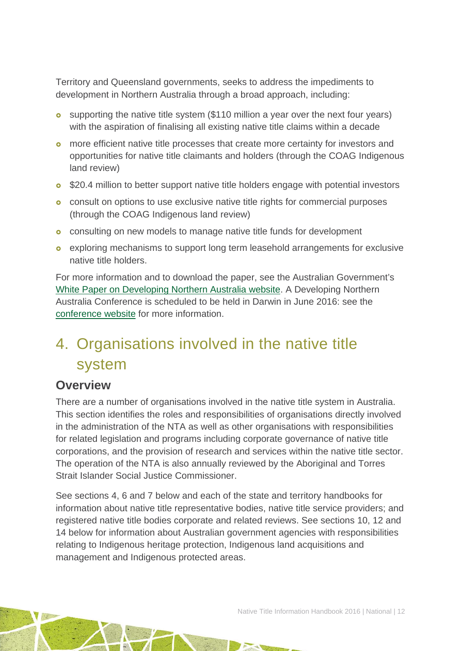Territory and Queensland governments, seeks to address the impediments to development in Northern Australia through a broad approach, including:

- supporting the native title system (\$110 million a year over the next four years) with the aspiration of finalising all existing native title claims within a decade
- more efficient native title processes that create more certainty for investors and opportunities for native title claimants and holders (through the COAG Indigenous land review)
- **o** \$20.4 million to better support native title holders engage with potential investors
- **o** consult on options to use exclusive native title rights for commercial purposes (through the COAG Indigenous land review)
- **o** consulting on new models to manage native title funds for development
- exploring mechanisms to support long term leasehold arrangements for exclusive native title holders.

For more information and to download the paper, see the Australian Government's [White Paper on Developing Northern Australia website.](http://industry.gov.au/ONA/WhitePaper/index.html) A Developing Northern Australia Conference is scheduled to be held in Darwin in June 2016: see the [conference website](http://northaust.org.au/) for more information.

## <span id="page-12-0"></span>4. Organisations involved in the native title system

### **Overview**

There are a number of organisations involved in the native title system in Australia. This section identifies the roles and responsibilities of organisations directly involved in the administration of the NTA as well as other organisations with responsibilities for related legislation and programs including corporate governance of native title corporations, and the provision of research and services within the native title sector. The operation of the NTA is also annually reviewed by the Aboriginal and Torres Strait Islander Social Justice Commissioner.

See sections 4, 6 and 7 below and each of the state and territory handbooks for information about native title representative bodies, native title service providers; and registered native title bodies corporate and related reviews. See sections 10, 12 and 14 below for information about Australian government agencies with responsibilities relating to Indigenous heritage protection, Indigenous land acquisitions and management and Indigenous protected areas.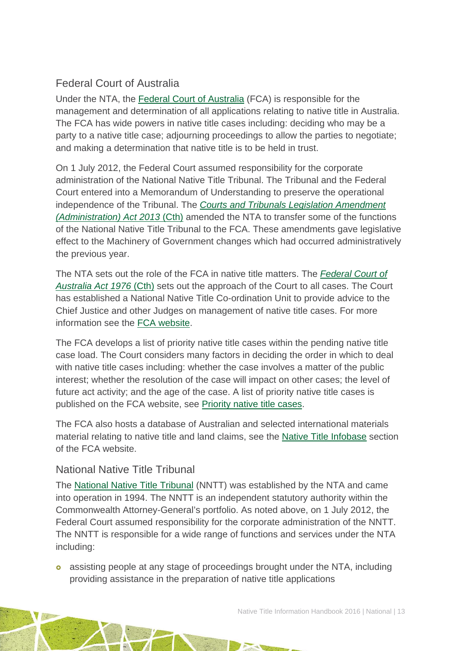### Federal Court of Australia

Under the NTA, the [Federal Court of Australia](http://www.fedcourt.gov.au/) (FCA) is responsible for the management and determination of all applications relating to native title in Australia. The FCA has wide powers in native title cases including: deciding who may be a party to a native title case; adjourning proceedings to allow the parties to negotiate; and making a determination that native title is to be held in trust.

On 1 July 2012, the Federal Court assumed responsibility for the corporate administration of the National Native Title Tribunal. The Tribunal and the Federal Court entered into a Memorandum of Understanding to preserve the operational independence of the Tribunal. The *[Courts and Tribunals Legislation Amendment](http://parlinfo.aph.gov.au/parlInfo/search/display/display.w3p;query=Id%3A%22legislation/billhome/r4919%22)  [\(Administration\) Act 2013](http://parlinfo.aph.gov.au/parlInfo/search/display/display.w3p;query=Id%3A%22legislation/billhome/r4919%22)* (Cth) amended the NTA to transfer some of the functions of the National Native Title Tribunal to the FCA. These amendments gave legislative effect to the Machinery of Government changes which had occurred administratively the previous year.

The NTA sets out the role of the FCA in native title matters. The *[Federal Court of](http://www5.austlii.edu.au/au/legis/cth/consol_act/fcoaa1976249/)  [Australia Act 1976](http://www5.austlii.edu.au/au/legis/cth/consol_act/fcoaa1976249/)* (Cth) sets out the approach of the Court to all cases. The Court has established a National Native Title Co-ordination Unit to provide advice to the Chief Justice and other Judges on management of native title cases. For more information see the [FCA website.](http://www.fedcourt.gov.au/law-and-practice/areas-of-law/native-title)

The FCA develops a list of priority native title cases within the pending native title case load. The Court considers many factors in deciding the order in which to deal with native title cases including: whether the case involves a matter of the public interest; whether the resolution of the case will impact on other cases; the level of future act activity; and the age of the case. A list of priority native title cases is published on the FCA website, see [Priority native title cases.](http://www.fedcourt.gov.au/law-and-practice/areas-of-law/native-title/priority-cases/current)

The FCA also hosts a database of Australian and selected international materials material relating to native title and land claims, see the [Native Title Infobase](http://www.fedcourt.gov.au/publications/library/native-title-infobase) section of the FCA website.

#### National Native Title Tribunal

The [National Native Title Tribunal](http://www.nntt.gov.au/) (NNTT) was established by the NTA and came into operation in 1994. The NNTT is an independent statutory authority within the Commonwealth Attorney-General's portfolio. As noted above, on 1 July 2012, the Federal Court assumed responsibility for the corporate administration of the NNTT. The NNTT is responsible for a wide range of functions and services under the NTA including:

 assisting people at any stage of proceedings brought under the NTA, including providing assistance in the preparation of native title applications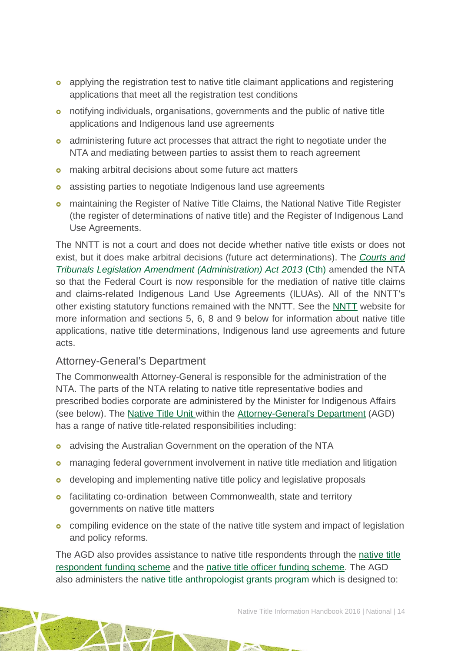- applying the registration test to native title claimant applications and registering applications that meet all the registration test conditions
- notifying individuals, organisations, governments and the public of native title applications and Indigenous land use agreements
- o administering future act processes that attract the right to negotiate under the NTA and mediating between parties to assist them to reach agreement
- **o** making arbitral decisions about some future act matters
- **o** assisting parties to negotiate Indigenous land use agreements
- maintaining the Register of Native Title Claims, the National Native Title Register (the register of determinations of native title) and the Register of Indigenous Land Use Agreements.

The NNTT is not a court and does not decide whether native title exists or does not exist, but it does make arbitral decisions (future act determinations). The *[Courts and](http://parlinfo.aph.gov.au/parlInfo/search/display/display.w3p;query=Id%3A%22legislation/billhome/r4919%22)  [Tribunals Legislation Amendment \(Administration\) Act 2013](http://parlinfo.aph.gov.au/parlInfo/search/display/display.w3p;query=Id%3A%22legislation/billhome/r4919%22)* (Cth) amended the NTA so that the Federal Court is now responsible for the mediation of native title claims and claims-related Indigenous Land Use Agreements (ILUAs). All of the NNTT's other existing statutory functions remained with the NNTT. See the [NNTT](http://www.nntt.gov.au/Pages/Home-Page.aspx) website for more information and sections 5, 6, 8 and 9 below for information about native title applications, native title determinations, Indigenous land use agreements and future acts.

#### Attorney-General's Department

The Commonwealth Attorney-General is responsible for the administration of the NTA. The parts of the NTA relating to native title representative bodies and prescribed bodies corporate are administered by the Minister for Indigenous Affairs (see below). The [Native Title Unit](https://www.ag.gov.au/LegalSystem/NativeTitle/Pages/default.aspx) within the [Attorney-General's Department](http://www.ag.gov.au/) (AGD) has a range of native title-related responsibilities including:

- **o** advising the Australian Government on the operation of the NTA
- **o** managing federal government involvement in native title mediation and litigation
- o developing and implementing native title policy and legislative proposals
- **o** facilitating co-ordination between Commonwealth, state and territory governments on native title matters
- **o** compiling evidence on the state of the native title system and impact of legislation and policy reforms.

The AGD also provides assistance to native title respondents through the [native title](http://www.ag.gov.au/LegalSystem/Legalaidprogrammes/Commonwealthlegalfinancialassistance/Pages/Nativetitlerespondentfunding.aspx)  [respondent funding scheme](http://www.ag.gov.au/LegalSystem/Legalaidprogrammes/Commonwealthlegalfinancialassistance/Pages/Nativetitlerespondentfunding.aspx) and the [native title officer funding scheme.](http://www.ag.gov.au/LegalSystem/Legalaidprogrammes/Commonwealthlegalfinancialassistance/Pages/Native-title-officer-funding-scheme.aspx) The AGD also administers the [native title anthropologist grants program](http://www.ag.gov.au/LegalSystem/NativeTitle/Pages/NativeTitleAnthropologistGrantsProgram.aspx) which is designed to: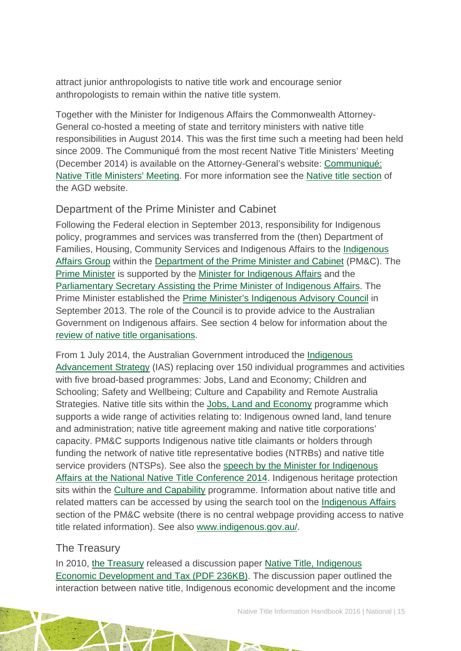attract junior anthropologists to native title work and encourage senior anthropologists to remain within the native title system.

Together with the Minister for Indigenous Affairs the Commonwealth Attorney-General co-hosted a meeting of state and territory ministers with native title responsibilities in August 2014. This was the first time such a meeting had been held since 2009. The Communiqué from the most recent Native Title Ministers' Meeting (December 2014) is available on the Attorney-General's website: [Communiqué:](http://www.attorneygeneral.gov.au/Mediareleases/Pages/2014/FourthQuarter/16December2014-CommuniqueNativeTitleMinistersMeeting.aspx)  [Native Title Ministers' Meeting.](http://www.attorneygeneral.gov.au/Mediareleases/Pages/2014/FourthQuarter/16December2014-CommuniqueNativeTitleMinistersMeeting.aspx) For more information see the [Native title section](http://www.ag.gov.au/LegalSystem/NativeTitle/Pages/default.aspx) of the AGD website.

#### Department of the Prime Minister and Cabinet

Following the Federal election in September 2013, responsibility for Indigenous policy, programmes and services was transferred from the (then) Department of Families, Housing, Community Services and Indigenous Affairs to the [Indigenous](http://www.dpmc.gov.au/indigenous-affairs/about)  [Affairs Group](http://www.dpmc.gov.au/indigenous-affairs/about) within the [Department of the Prime Minister and Cabinet](http://www.dpmc.gov.au/) (PM&C). The [Prime Minister](http://www.pm.gov.au/) is supported by the [Minister for Indigenous Affairs](http://minister.indigenous.gov.au/) and the [Parliamentary Secretary Assisting the Prime Minister of Indigenous Affairs.](https://alantudge.dpmc.gov.au/) The Prime Minister established the [Prime Minister's Indigenous Advisory Council](http://iac.dpmc.gov.au/) in September 2013. The role of the Council is to provide advice to the Australian Government on Indigenous affairs. See section 4 below for information about the [review of native title organisations.](http://www.deloitteaccesseconomics.com.au/our+services/economic+analysis+and+policy/native+title/about+the+review)

From 1 July 2014, the Australian Government introduced the [Indigenous](http://www.dpmc.gov.au/indigenous-affairs/about/indigenous-advancement-strategy)  [Advancement Strategy](http://www.dpmc.gov.au/indigenous-affairs/about/indigenous-advancement-strategy) (IAS) replacing over 150 individual programmes and activities with five broad-based programmes: Jobs, Land and Economy; Children and Schooling; Safety and Wellbeing; Culture and Capability and Remote Australia Strategies. Native title sits within the [Jobs, Land and Economy](http://www.dpmc.gov.au/indigenous-affairs/about/jobs-land-and-economy-programme) programme which supports a wide range of activities relating to: Indigenous owned land, land tenure and administration; native title agreement making and native title corporations' capacity. PM&C supports Indigenous native title claimants or holders through funding the network of native title representative bodies (NTRBs) and native title service providers (NTSPs). See also the [speech by the Minister for Indigenous](http://minister.indigenous.gov.au/media/2014-06-02/2014-national-native-title-conference-speech)  [Affairs at the National Native Title Conference 2014.](http://minister.indigenous.gov.au/media/2014-06-02/2014-national-native-title-conference-speech) Indigenous heritage protection sits within the [Culture and Capability](http://www.dpmc.gov.au/indigenous-affairs/about/culture-and-capability-programme) programme. Information about native title and related matters can be accessed by using the search tool on the [Indigenous Affairs](http://www.dpmc.gov.au/indigenous-affairs/) section of the PM&C website (there is no central webpage providing access to native title related information). See also [www.indigenous.gov.au/.](http://www.indigenous.gov.au/)

#### The Treasury

In 2010, [the Treasury](http://www.treasury.gov.au/) released a discussion paper [Native Title, Indigenous](http://www.treasury.gov.au/%7E/media/Treasury/Consultations%20and%20Reviews/Consultations/2010/Native%20Title%20Indigenous%20Economic%20Development%20and%20Tax/Key%20Documents/PDF/CP_Native_Title_IED_and_Tax.ashx)  [Economic Development and Tax \(PDF 236KB\).](http://www.treasury.gov.au/%7E/media/Treasury/Consultations%20and%20Reviews/Consultations/2010/Native%20Title%20Indigenous%20Economic%20Development%20and%20Tax/Key%20Documents/PDF/CP_Native_Title_IED_and_Tax.ashx) The discussion paper outlined the interaction between native title, Indigenous economic development and the income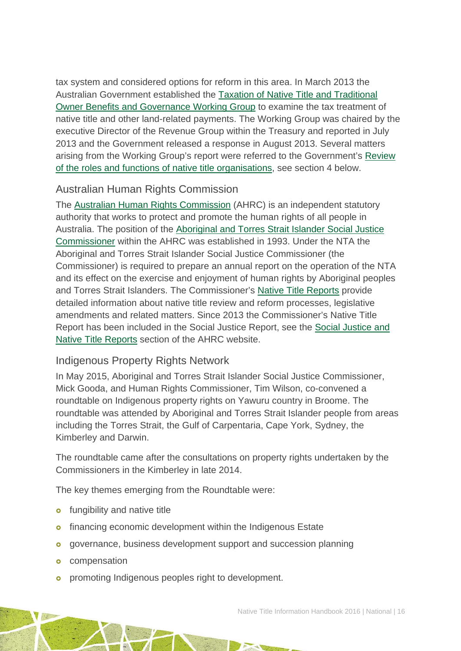tax system and considered options for reform in this area. In March 2013 the Australian Government established the [Taxation of Native Title and Traditional](http://www.treasury.gov.au/Policy-Topics/Taxation/Native-Title-Working-Group)  [Owner Benefits and Governance Working Group](http://www.treasury.gov.au/Policy-Topics/Taxation/Native-Title-Working-Group) to examine the tax treatment of native title and other land-related payments. The Working Group was chaired by the executive Director of the Revenue Group within the Treasury and reported in July 2013 and the Government released a response in August 2013. Several matters arising from the Working Group's report were referred to the Government's [Review](http://www.deloitteaccesseconomics.com.au/our+services/economic+analysis+and+policy/native+title/about+the+review)  [of the roles and functions of native title organisations,](http://www.deloitteaccesseconomics.com.au/our+services/economic+analysis+and+policy/native+title/about+the+review) see section 4 below.

#### Australian Human Rights Commission

The [Australian Human Rights Commission](http://www.hreoc.gov.au/) (AHRC) is an independent statutory authority that works to protect and promote the human rights of all people in Australia. The position of the [Aboriginal and Torres Strait Islander Social Justice](http://www.hreoc.gov.au/social_justice/index.html)  [Commissioner](http://www.hreoc.gov.au/social_justice/index.html) within the AHRC was established in 1993. Under the NTA the Aboriginal and Torres Strait Islander Social Justice Commissioner (the Commissioner) is required to prepare an annual report on the operation of the NTA and its effect on the exercise and enjoyment of human rights by Aboriginal peoples and Torres Strait Islanders. The Commissioner's [Native Title Reports](http://www.hreoc.gov.au/social_justice/nt_report/index.html) provide detailed information about native title review and reform processes, legislative amendments and related matters. Since 2013 the Commissioner's Native Title Report has been included in the Social Justice Report, see the [Social Justice and](https://www.humanrights.gov.au/our-work/aboriginal-and-torres-strait-islander-social-justice/projects/social-justice-and-native)  [Native Title Reports](https://www.humanrights.gov.au/our-work/aboriginal-and-torres-strait-islander-social-justice/projects/social-justice-and-native) section of the AHRC website.

#### Indigenous Property Rights Network

In May 2015, Aboriginal and Torres Strait Islander Social Justice Commissioner, Mick Gooda, and Human Rights Commissioner, Tim Wilson, co-convened a roundtable on Indigenous property rights on Yawuru country in Broome. The roundtable was attended by Aboriginal and Torres Strait Islander people from areas including the Torres Strait, the Gulf of Carpentaria, Cape York, Sydney, the Kimberley and Darwin.

The roundtable came after the consultations on property rights undertaken by the Commissioners in the Kimberley in late 2014.

The key themes emerging from the Roundtable were:

- **o** fungibility and native title
- **o** financing economic development within the Indigenous Estate
- **o** governance, business development support and succession planning
- **o** compensation
- **o** promoting Indigenous peoples right to development.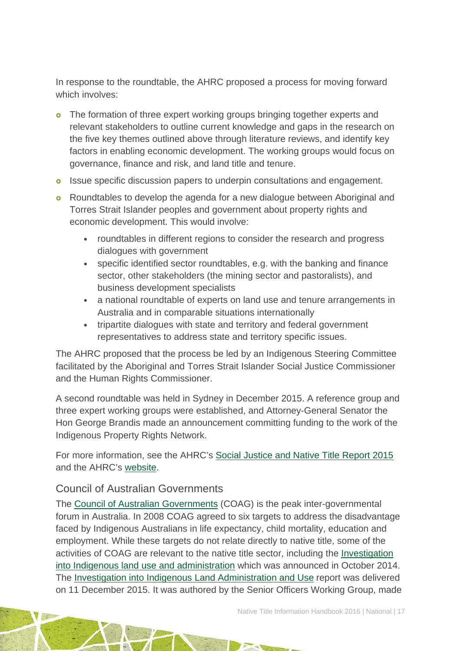In response to the roundtable, the AHRC proposed a process for moving forward which involves:

- **o** The formation of three expert working groups bringing together experts and relevant stakeholders to outline current knowledge and gaps in the research on the five key themes outlined above through literature reviews, and identify key factors in enabling economic development. The working groups would focus on governance, finance and risk, and land title and tenure.
- **o** Issue specific discussion papers to underpin consultations and engagement.
- **o** Roundtables to develop the agenda for a new dialogue between Aboriginal and Torres Strait Islander peoples and government about property rights and economic development. This would involve:
	- roundtables in different regions to consider the research and progress dialogues with government
	- specific identified sector roundtables, e.g. with the banking and finance sector, other stakeholders (the mining sector and pastoralists), and business development specialists
	- a national roundtable of experts on land use and tenure arrangements in Australia and in comparable situations internationally
	- tripartite dialogues with state and territory and federal government representatives to address state and territory specific issues.

The AHRC proposed that the process be led by an Indigenous Steering Committee facilitated by the Aboriginal and Torres Strait Islander Social Justice Commissioner and the Human Rights Commissioner.

A second roundtable was held in Sydney in December 2015. A reference group and three expert working groups were established, and Attorney-General Senator the Hon George Brandis made an announcement committing funding to the work of the Indigenous Property Rights Network.

For more information, see the AHRC's [Social Justice and Native Title Report 2015](https://www.humanrights.gov.au/our-work/aboriginal-and-torres-strait-islander-social-justice/publications/social-justice-and-nati-1) and the AHRC's [website.](https://www.humanrights.gov.au/)

#### Council of Australian Governments

The [Council of Australian Governments](https://www.coag.gov.au/) (COAG) is the peak inter-governmental forum in Australia. In 2008 COAG agreed to six targets to address the disadvantage faced by Indigenous Australians in life expectancy, child mortality, education and employment. While these targets do not relate directly to native title, some of the activities of COAG are relevant to the native title sector, including the [Investigation](http://www.dpmc.gov.au/indigenous-affairs/about/jobs-land-and-economy-programme/coag-land-investigation)  into Indigenous [land use and administration](http://www.dpmc.gov.au/indigenous-affairs/about/jobs-land-and-economy-programme/coag-land-investigation) which was announced in October 2014. The [Investigation into Indigenous Land Administration and Use](https://www.dpmc.gov.au/indigenous-affairs/about/jobs-land-and-economy-programme/coag-land-investigation) report was delivered on 11 December 2015. It was authored by the Senior Officers Working Group, made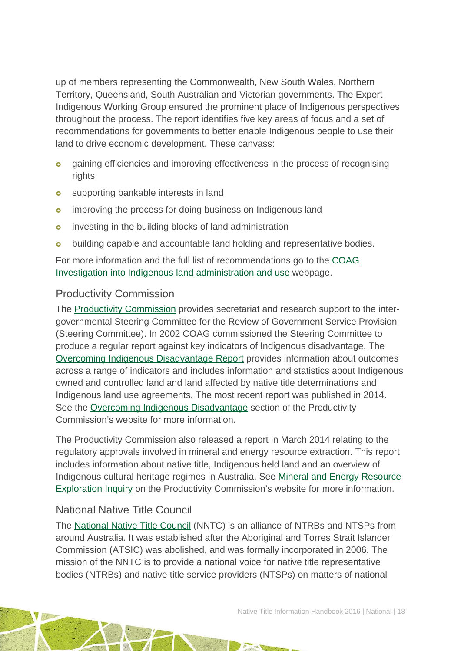up of members representing the Commonwealth, New South Wales, Northern Territory, Queensland, South Australian and Victorian governments. The Expert Indigenous Working Group ensured the prominent place of Indigenous perspectives throughout the process. The report identifies five key areas of focus and a set of recommendations for governments to better enable Indigenous people to use their land to drive economic development. These canvass:

- **o** gaining efficiencies and improving effectiveness in the process of recognising rights
- **o** supporting bankable interests in land
- **o** improving the process for doing business on Indigenous land
- investing in the building blocks of land administration
- **o** building capable and accountable land holding and representative bodies.

For more information and the full list of recommendations go to the [COAG](https://www.dpmc.gov.au/indigenous-affairs/about/jobs-land-and-economy-programme/coag-land-investigation)  [Investigation into Indigenous land administration and use](https://www.dpmc.gov.au/indigenous-affairs/about/jobs-land-and-economy-programme/coag-land-investigation) webpage.

### Productivity Commission

The [Productivity Commission](http://www.pc.gov.au/) provides secretariat and research support to the intergovernmental Steering Committee for the Review of Government Service Provision (Steering Committee). In 2002 COAG commissioned the Steering Committee to produce a regular report against key indicators of Indigenous disadvantage. The [Overcoming Indigenous Disadvantage Report](http://www.pc.gov.au/research/recurring/overcoming-indigenous-disadvantage) provides information about outcomes across a range of indicators and includes information and statistics about Indigenous owned and controlled land and land affected by native title determinations and Indigenous land use agreements. The most recent report was published in 2014. See the [Overcoming Indigenous Disadvantage](http://www.pc.gov.au/research/recurring/overcoming-indigenous-disadvantage) section of the Productivity Commission's website for more information.

The Productivity Commission also released a report in March 2014 relating to the regulatory approvals involved in mineral and energy resource extraction. This report includes information about native title, Indigenous held land and an overview of Indigenous cultural heritage regimes in Australia. See [Mineral and Energy Resource](http://www.pc.gov.au/inquiries/completed/resource-exploration/report)  [Exploration Inquiry](http://www.pc.gov.au/inquiries/completed/resource-exploration/report) on the Productivity Commission's website for more information.

#### National Native Title Council

The [National Native Title Council](http://nntc.com.au/) (NNTC) is an alliance of NTRBs and NTSPs from around Australia. It was established after the Aboriginal and Torres Strait Islander Commission (ATSIC) was abolished, and was formally incorporated in 2006. The mission of the NNTC is to provide a national voice for native title representative bodies (NTRBs) and native title service providers (NTSPs) on matters of national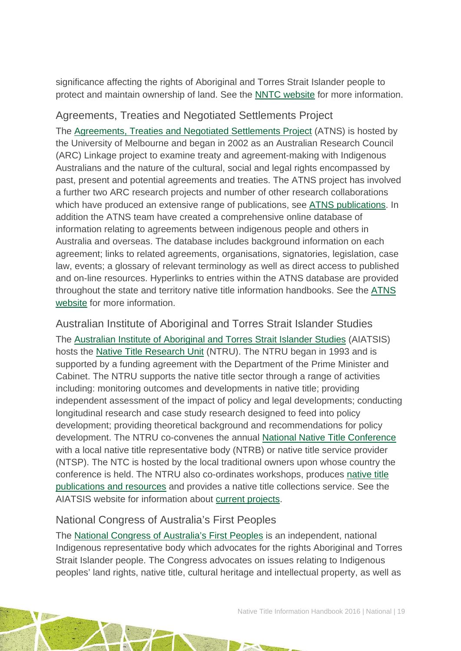significance affecting the rights of Aboriginal and Torres Strait Islander people to protect and maintain ownership of land. See the [NNTC website](http://nntc.com.au/) for more information.

### Agreements, Treaties and Negotiated Settlements Project

The [Agreements, Treaties and Negotiated Settlements Project](http://www.atns.net.au/) (ATNS) is hosted by the University of Melbourne and began in 2002 as an Australian Research Council (ARC) Linkage project to examine treaty and agreement-making with Indigenous Australians and the nature of the cultural, social and legal rights encompassed by past, present and potential agreements and treaties. The ATNS project has involved a further two ARC research projects and number of other research collaborations which have produced an extensive range of publications, see [ATNS publications.](http://atns.net.au/pubs.asp) In addition the ATNS team have created a comprehensive online database of information relating to agreements between indigenous people and others in Australia and overseas. The database includes background information on each agreement; links to related agreements, organisations, signatories, legislation, case law, events; a glossary of relevant terminology as well as direct access to published and on-line resources. Hyperlinks to entries within the ATNS database are provided throughout the state and territory native title information handbooks. See the [ATNS](http://www.atns.net.au/default.asp)  [website](http://www.atns.net.au/default.asp) for more information.

Australian Institute of Aboriginal and Torres Strait Islander Studies The [Australian Institute of Aboriginal and Torres Strait Islander Studies](http://aiatsis.gov.au/) (AIATSIS) hosts the [Native Title Research Unit](http://aiatsis.gov.au/research/research-themes/native-title) (NTRU). The NTRU began in 1993 and is supported by a funding agreement with the Department of the Prime Minister and Cabinet. The NTRU supports the native title sector through a range of activities including: monitoring outcomes and developments in native title; providing independent assessment of the impact of policy and legal developments; conducting longitudinal research and case study research designed to feed into policy development; providing theoretical background and recommendations for policy development. The NTRU co-convenes the annual [National Native Title Conference](http://aiatsis.gov.au/news-and-events/conferences) with a local native title representative body (NTRB) or native title service provider (NTSP). The NTC is hosted by the local traditional owners upon whose country the conference is held. The NTRU also co-ordinates workshops, produces [native title](http://aiatsis.gov.au/research/research-themes/native-title-and-traditional-ownership/native-title-and-traditional-ownership-resources-and-information-services)  [publications and resources](http://aiatsis.gov.au/research/research-themes/native-title-and-traditional-ownership/native-title-and-traditional-ownership-resources-and-information-services) and provides a native title collections service. See the AIATSIS website for information about [current projects.](http://aiatsis.gov.au/research/research-themes/native-title-and-traditional-ownership/projects/current)

#### National Congress of Australia's First Peoples

The [National Congress of Australia's First Peoples](http://nationalcongress.com.au/) is an independent, national Indigenous representative body which advocates for the rights Aboriginal and Torres Strait Islander people. The Congress advocates on issues relating to Indigenous peoples' land rights, native title, cultural heritage and intellectual property, as well as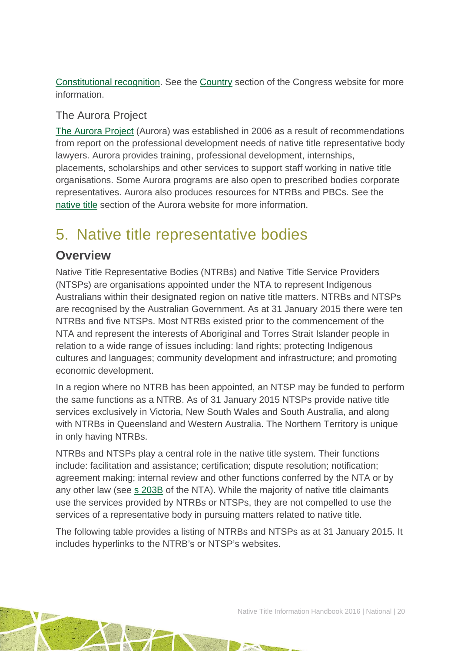[Constitutional recognition.](http://nationalcongress.com.au/recognition/) See the [Country](http://nationalcongress.com.au/country/) section of the Congress website for more information.

### The Aurora Project

[The Aurora Project](http://www.auroraproject.com.au/) (Aurora) was established in 2006 as a result of recommendations from report on the professional development needs of native title representative body lawyers. Aurora provides training, professional development, internships, placements, scholarships and other services to support staff working in native title organisations. Some Aurora programs are also open to prescribed bodies corporate representatives. Aurora also produces resources for NTRBs and PBCs. See the [native title](http://www.auroraproject.com.au/native_title) section of the Aurora website for more information.

## <span id="page-20-0"></span>5. Native title representative bodies

### **Overview**

Native Title Representative Bodies (NTRBs) and Native Title Service Providers (NTSPs) are organisations appointed under the NTA to represent Indigenous Australians within their designated region on native title matters. NTRBs and NTSPs are recognised by the Australian Government. As at 31 January 2015 there were ten NTRBs and five NTSPs. Most NTRBs existed prior to the commencement of the NTA and represent the interests of Aboriginal and Torres Strait Islander people in relation to a wide range of issues including: land rights; protecting Indigenous cultures and languages; community development and infrastructure; and promoting economic development.

In a region where no NTRB has been appointed, an NTSP may be funded to perform the same functions as a NTRB. As of 31 January 2015 NTSPs provide native title services exclusively in Victoria, New South Wales and South Australia, and along with NTRBs in Queensland and Western Australia. The Northern Territory is unique in only having NTRBs.

NTRBs and NTSPs play a central role in the native title system. Their functions include: facilitation and assistance; certification; dispute resolution; notification; agreement making; internal review and other functions conferred by the NTA or by any other law (see [s 203B](http://www.austlii.edu.au/au/legis/cth/consol_act/nta1993147/s203b.html) of the NTA). While the majority of native title claimants use the services provided by NTRBs or NTSPs, they are not compelled to use the services of a representative body in pursuing matters related to native title.

The following table provides a listing of NTRBs and NTSPs as at 31 January 2015. It includes hyperlinks to the NTRB's or NTSP's websites.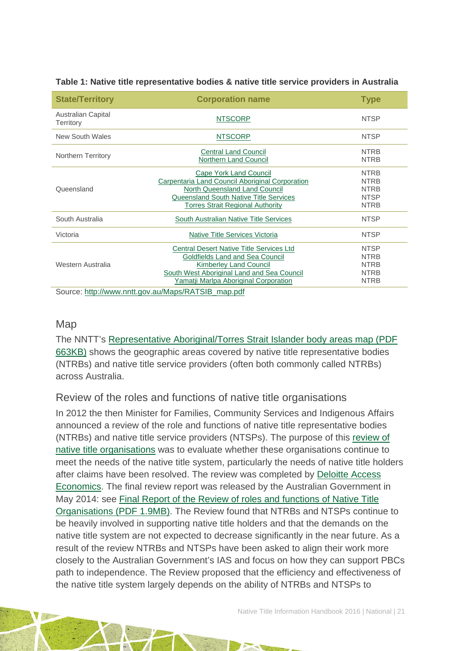| <b>State/Territory</b>                             | <b>Corporation name</b>                                                                                                                                                                                    | <b>Type</b>                                                             |  |
|----------------------------------------------------|------------------------------------------------------------------------------------------------------------------------------------------------------------------------------------------------------------|-------------------------------------------------------------------------|--|
| <b>Australian Capital</b><br>Territory             | <b>NTSCORP</b>                                                                                                                                                                                             | <b>NTSP</b>                                                             |  |
| New South Wales                                    | <b>NTSCORP</b>                                                                                                                                                                                             | <b>NTSP</b>                                                             |  |
| <b>Northern Territory</b>                          | <b>Central Land Council</b><br><b>Northern Land Council</b>                                                                                                                                                | <b>NTRB</b><br><b>NTRB</b>                                              |  |
| Queensland                                         | <b>Cape York Land Council</b><br>Carpentaria Land Council Aboriginal Corporation<br>North Queensland Land Council<br><b>Queensland South Native Title Services</b><br>Torres Strait Regional Authority     | <b>NTRB</b><br><b>NTRB</b><br><b>NTRB</b><br><b>NTSP</b><br><b>NTRB</b> |  |
| South Australia                                    | South Australian Native Title Services                                                                                                                                                                     | <b>NTSP</b>                                                             |  |
| Victoria                                           | <b>Native Title Services Victoria</b>                                                                                                                                                                      | <b>NTSP</b>                                                             |  |
| Western Australia                                  | <b>Central Desert Native Title Services Ltd</b><br>Goldfields Land and Sea Council<br><b>Kimberley Land Council</b><br>South West Aboriginal Land and Sea Council<br>Yamatji Marlpa Aboriginal Corporation | <b>NTSP</b><br><b>NTRB</b><br><b>NTRB</b><br><b>NTRB</b><br><b>NTRB</b> |  |
| Source: http://www.nntt.gov.au/Maps/RATSIB_map.pdf |                                                                                                                                                                                                            |                                                                         |  |

#### **Table 1: Native title representative bodies & native title service providers in Australia**

#### **Map**

The NNTT's [Representative Aboriginal/Torres Strait Islander body areas map \(PDF](http://www.nntt.gov.au/Maps/RATSIB_map.pdf)  [663KB\)](http://www.nntt.gov.au/Maps/RATSIB_map.pdf) shows the geographic areas covered by native title representative bodies (NTRBs) and native title service providers (often both commonly called NTRBs) across Australia.

#### Review of the roles and functions of native title organisations

In 2012 the then Minister for Families, Community Services and Indigenous Affairs announced a review of the role and functions of native title representative bodies (NTRBs) and native title service providers (NTSPs). The purpose of this [review of](http://www.deloitteaccesseconomics.com.au/our+services/economic+analysis+and+policy/native+title/about+the+review)  [native title organisations](http://www.deloitteaccesseconomics.com.au/our+services/economic+analysis+and+policy/native+title/about+the+review) was to evaluate whether these organisations continue to meet the needs of the native title system, particularly the needs of native title holders after claims have been resolved. The review was completed by [Deloitte Access](http://www.deloitteaccesseconomics.com.au/)  [Economics.](http://www.deloitteaccesseconomics.com.au/) The final review report was released by the Australian Government in May 2014: see [Final Report of the Review of roles and functions of Native Title](http://www.deloitteaccesseconomics.com.au/uploads/File/DAE%20Review%20of%20Native%20Title%20Organisations%20-%20Final%20Report%20reissued.pdf)  [Organisations](http://www.deloitteaccesseconomics.com.au/uploads/File/DAE%20Review%20of%20Native%20Title%20Organisations%20-%20Final%20Report%20reissued.pdf) (PDF 1.9MB). The Review found that NTRBs and NTSPs continue to be heavily involved in supporting native title holders and that the demands on the native title system are not expected to decrease significantly in the near future. As a result of the review NTRBs and NTSPs have been asked to align their work more closely to the Australian Government's IAS and focus on how they can support PBCs path to independence. The Review proposed that the efficiency and effectiveness of the native title system largely depends on the ability of NTRBs and NTSPs to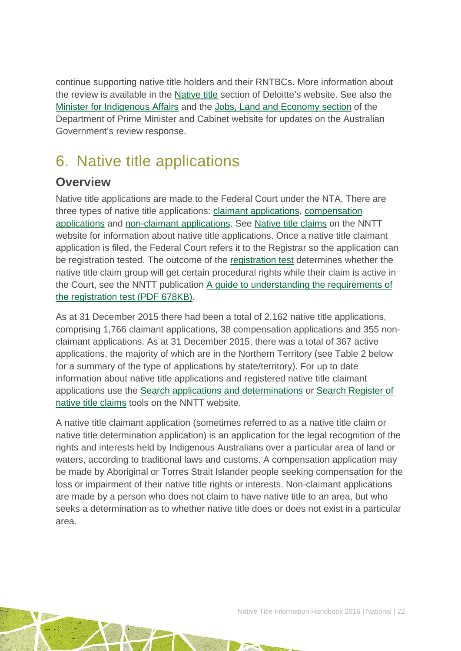continue supporting native title holders and their RNTBCs. More information about the review is available in the [Native title](http://www.deloitteaccesseconomics.com.au/our+services/economic+analysis+and+policy/native+title/about+the+review) section of Deloitte's website. See also the [Minister for Indigenous Affairs](http://minister.indigenous.gov.au/) and the [Jobs, Land and Economy section](http://www.indigenous.gov.au/jobs-land-and-economy) of the Department of Prime Minister and Cabinet website for updates on the Australian Government's review response.

## <span id="page-22-0"></span>6. Native title applications

### **Overview**

Native title applications are made to the Federal Court under the NTA. There are three types of native title applications: [claimant applications, compensation](http://www.nntt.gov.au/Pages/Glossary.aspx)  [applications](http://www.nntt.gov.au/Pages/Glossary.aspx) and [non-claimant applications.](http://www.nntt.gov.au/Pages/Glossary.aspx) See [Native title claims](http://www.nntt.gov.au/nativetitleclaims/Pages/default.aspx) on the NNTT website for information about native title applications. Once a native title claimant application is filed, the Federal Court refers it to the Registrar so the application can be registration tested. The outcome of the [registration test](http://www.nntt.gov.au/nativetitleclaims/Pages/Registration-Testing.aspx) determines whether the native title claim group will get certain procedural rights while their claim is active in the Court, see the NNTT publication [A guide to understanding the requirements of](http://www.nntt.gov.au/Information%20Publications/Native%20Title%20Claimant%20Applications_Registration%20Test.pdf)  [the registration test](http://www.nntt.gov.au/Information%20Publications/Native%20Title%20Claimant%20Applications_Registration%20Test.pdf) (PDF 678KB).

As at 31 December 2015 there had been a total of 2,162 native title applications, comprising 1,766 claimant applications, 38 compensation applications and 355 nonclaimant applications. As at 31 December 2015, there was a total of 367 active applications, the majority of which are in the Northern Territory (see Table 2 below for a summary of the type of applications by state/territory). For up to date information about native title applications and registered native title claimant applications use the [Search applications and determinations](http://www.nntt.gov.au/searchRegApps/NativeTitleClaims/Pages/default.aspx) or [Search Register of](http://www.nntt.gov.au/searchRegApps/NativeTitleRegisters/Pages/Search-Register-of-Native-Title-Claims.aspx)  [native title claims](http://www.nntt.gov.au/searchRegApps/NativeTitleRegisters/Pages/Search-Register-of-Native-Title-Claims.aspx) tools on the NNTT website.

A native title claimant application (sometimes referred to as a native title claim or native title determination application) is an application for the legal recognition of the rights and interests held by Indigenous Australians over a particular area of land or waters, according to traditional laws and customs. A compensation application may be made by Aboriginal or Torres Strait Islander people seeking compensation for the loss or impairment of their native title rights or interests. Non-claimant applications are made by a person who does not claim to have native title to an area, but who seeks a determination as to whether native title does or does not exist in a particular area.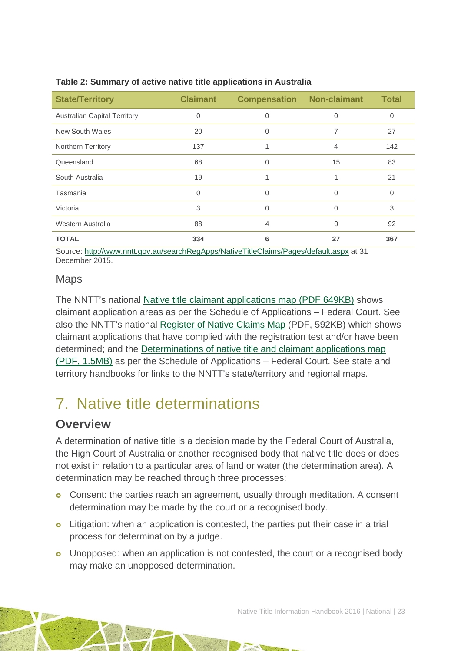| <b>State/Territory</b>              | <b>Claimant</b> | <b>Compensation Non-claimant</b> |                | <b>Total</b> |
|-------------------------------------|-----------------|----------------------------------|----------------|--------------|
| <b>Australian Capital Territory</b> | 0               | 0                                | $\Omega$       | 0            |
| <b>New South Wales</b>              | 20              | 0                                | 7              | 27           |
| Northern Territory                  | 137             |                                  | $\overline{4}$ | 142          |
| Queensland                          | 68              | 0                                | 15             | 83           |
| South Australia                     | 19              |                                  |                | 21           |
| Tasmania                            | $\Omega$        | 0                                | $\Omega$       | 0            |
| Victoria                            | 3               | 0                                | 0              | 3            |
| Western Australia                   | 88              | 4                                | $\Omega$       | 92           |
| <b>TOTAL</b>                        | 334             | 6                                | 27             | 367          |

#### **Table 2: Summary of active native title applications in Australia**

Source:<http://www.nntt.gov.au/searchRegApps/NativeTitleClaims/Pages/default.aspx> at 31 December 2015.

#### Maps

The NNTT's national [Native title claimant applications map \(PDF 649KB\)](http://www.nntt.gov.au/Maps/Schedule_map.pdf) shows claimant application areas as per the Schedule of Applications – Federal Court. See also the NNTT's national Register [of Native Claims Map](http://www.nntt.gov.au/Maps/RNTC_map.pdf) (PDF, 592KB) which shows claimant applications that have complied with the registration test and/or have been determined; and the Determinations of native [title and claimant applications map](http://www.nntt.gov.au/Maps/Schedule_and_Determinations_map.pdf)  [\(PDF, 1.5MB\)](http://www.nntt.gov.au/Maps/Schedule_and_Determinations_map.pdf) as per the Schedule of Applications – Federal Court. See state and territory handbooks for links to the NNTT's state/territory and regional maps.

## <span id="page-23-0"></span>7. Native title determinations

### **Overview**

A determination of native title is a decision made by the Federal Court of Australia, the High Court of Australia or another recognised body that native title does or does not exist in relation to a particular area of land or water (the determination area). A determination may be reached through three processes:

- Consent: the parties reach an agreement, usually through meditation. A consent determination may be made by the court or a recognised body.
- **o** Litigation: when an application is contested, the parties put their case in a trial process for determination by a judge.
- **o** Unopposed: when an application is not contested, the court or a recognised body may make an unopposed determination.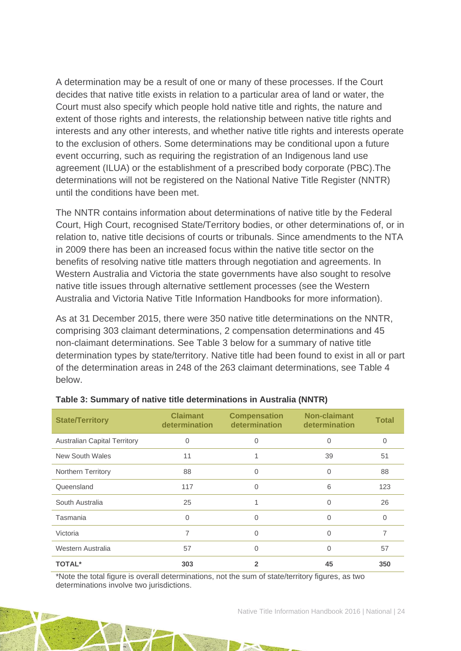A determination may be a result of one or many of these processes. If the Court decides that native title exists in relation to a particular area of land or water, the Court must also specify which people hold native title and rights, the nature and extent of those rights and interests, the relationship between native title rights and interests and any other interests, and whether native title rights and interests operate to the exclusion of others. Some determinations may be conditional upon a future event occurring, such as requiring the registration of an Indigenous land use agreement (ILUA) or the establishment of a prescribed body corporate (PBC).The determinations will not be registered on the National Native Title Register (NNTR) until the conditions have been met.

The NNTR contains information about determinations of native title by the Federal Court, High Court, recognised State/Territory bodies, or other determinations of, or in relation to, native title decisions of courts or tribunals. Since amendments to the NTA in 2009 there has been an increased focus within the native title sector on the benefits of resolving native title matters through negotiation and agreements. In Western Australia and Victoria the state governments have also sought to resolve native title issues through alternative settlement processes (see the Western Australia and Victoria Native Title Information Handbooks for more information).

As at 31 December 2015, there were 350 native title determinations on the NNTR, comprising 303 claimant determinations, 2 compensation determinations and 45 non-claimant determinations. See Table 3 below for a summary of native title determination types by state/territory. Native title had been found to exist in all or part of the determination areas in 248 of the 263 claimant determinations, see Table 4 below.

| <b>State/Territory</b>              | <b>Claimant</b><br>determination | <b>Compensation</b><br>determination | Non-claimant<br>determination | <b>Total</b> |
|-------------------------------------|----------------------------------|--------------------------------------|-------------------------------|--------------|
| <b>Australian Capital Territory</b> | 0                                | 0                                    | 0                             | 0            |
| New South Wales                     | 11                               |                                      | 39                            | 51           |
| Northern Territory                  | 88                               | 0                                    | 0                             | 88           |
| Queensland                          | 117                              | 0                                    | 6                             | 123          |
| South Australia                     | 25                               |                                      | 0                             | 26           |
| Tasmania                            | $\mathbf 0$                      | 0                                    | 0                             | 0            |
| Victoria                            | 7                                | 0                                    | 0                             | 7            |
| Western Australia                   | 57                               | 0                                    | 0                             | 57           |
| <b>TOTAL*</b>                       | 303                              | 2                                    | 45                            | 350          |

#### **Table 3: Summary of native title determinations in Australia (NNTR)**

\*Note the total figure is overall determinations, not the sum of state/territory figures, as two determinations involve two jurisdictions.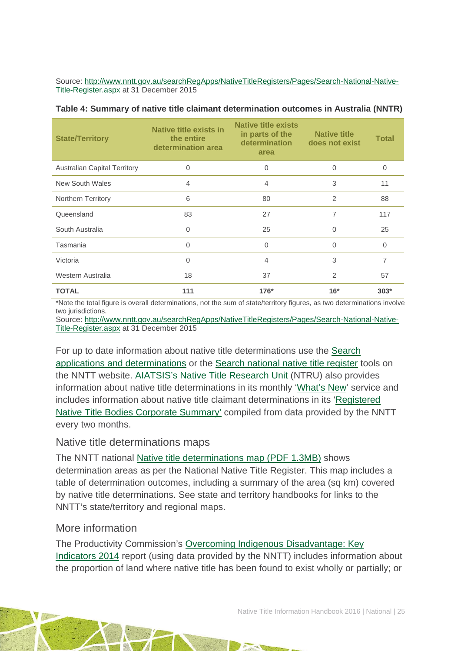Source: [http://www.nntt.gov.au/searchRegApps/NativeTitleRegisters/Pages/Search-National-Native-](http://www.nntt.gov.au/searchRegApps/NativeTitleRegisters/Pages/Search-National-Native-Title-Register.aspx)[Title-Register.aspx](http://www.nntt.gov.au/searchRegApps/NativeTitleRegisters/Pages/Search-National-Native-Title-Register.aspx) at 31 December 2015

| <b>State/Territory</b>              | Native title exists in<br>the entire<br>determination area | <b>Native title exists</b><br>in parts of the<br>determination<br>area | <b>Native title</b><br>does not exist | <b>Total</b> |
|-------------------------------------|------------------------------------------------------------|------------------------------------------------------------------------|---------------------------------------|--------------|
| <b>Australian Capital Territory</b> | 0                                                          | 0                                                                      | 0                                     | 0            |
| <b>New South Wales</b>              | 4                                                          | 4                                                                      | 3                                     | 11           |
| Northern Territory                  | 6                                                          | 80                                                                     | 2                                     | 88           |
| Queensland                          | 83                                                         | 27                                                                     | 7                                     | 117          |
| South Australia                     | 0                                                          | 25                                                                     | $\Omega$                              | 25           |
| Tasmania                            | 0                                                          | 0                                                                      | $\Omega$                              | 0            |
| Victoria                            | 0                                                          | 4                                                                      | 3                                     | 7            |
| Western Australia                   | 18                                                         | 37                                                                     | $\overline{2}$                        | 57           |
| <b>TOTAL</b>                        | 111                                                        | $176*$                                                                 | $16*$                                 | $303*$       |

#### **Table 4: Summary of native title claimant determination outcomes in Australia (NNTR)**

\*Note the total figure is overall determinations, not the sum of state/territory figures, as two determinations involve two jurisdictions.

Source: [http://www.nntt.gov.au/searchRegApps/NativeTitleRegisters/Pages/Search-National-Native-](http://www.nntt.gov.au/searchRegApps/NativeTitleRegisters/Pages/Search-National-Native-Title-Register.aspx)[Title-Register.aspx](http://www.nntt.gov.au/searchRegApps/NativeTitleRegisters/Pages/Search-National-Native-Title-Register.aspx) at 31 December 2015

For up to date information about native title determinations use the [Search](http://www.nntt.gov.au/searchRegApps/NativeTitleClaims/Pages/default.aspx)  [applications and determinations](http://www.nntt.gov.au/searchRegApps/NativeTitleClaims/Pages/default.aspx) or the [Search national native title register](http://www.nntt.gov.au/searchRegApps/NativeTitleRegisters/Pages/Search-National-Native-Title-Register.aspx) tools on the NNTT website. AIATSIS's [Native Title Research Unit](http://aiatsis.gov.au/research/research-themes/native-title) (NTRU) also provides information about native title determinations in its monthly ['What's New'](http://aiatsis.gov.au/research/research-themes/native-title/publications/whats-new) service and includes information about native title claimant determinations in its ['Registered](http://aiatsis.gov.au/publications/products/registered-native-title-bodies-corporate-prescribed-bodies-corporate-summary)  [Native Title Bodies Corporate Summary'](http://aiatsis.gov.au/publications/products/registered-native-title-bodies-corporate-prescribed-bodies-corporate-summary) compiled from data provided by the NNTT every two months.

#### Native title determinations maps

The NNTT national [Native title determinations map \(PDF 1.3MB\)](http://www.nntt.gov.au/Maps/Determinations_map.pdf) shows determination areas as per the National Native Title Register. This map includes a table of determination outcomes, including a summary of the area (sq km) covered by native title determinations. See state and territory handbooks for links to the NNTT's state/territory and regional maps.

#### More information

The Productivity Commission's [Overcoming Indigenous Disadvantage: Key](http://www.pc.gov.au/research/recurring/overcoming-indigenous-disadvantage/key-indicators-2014)  [Indicators 2014](http://www.pc.gov.au/research/recurring/overcoming-indigenous-disadvantage/key-indicators-2014) report (using data provided by the NNTT) includes information about the proportion of land where native title has been found to exist wholly or partially; or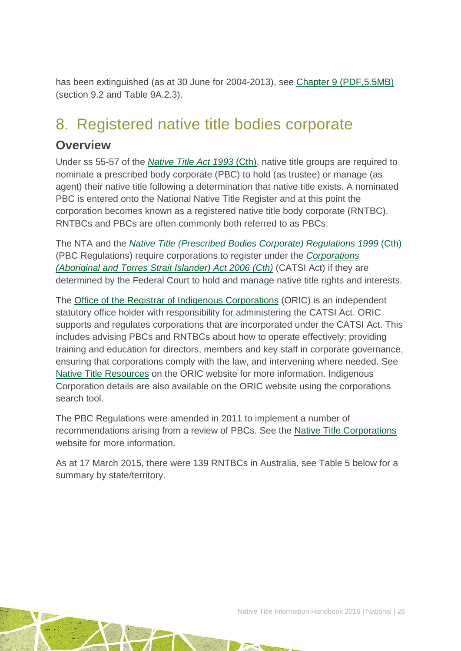has been extinguished (as at 30 June for 2004-2013), see [Chapter 9 \(PDF,5.5MB\)](http://www.pc.gov.au/research/recurring/overcoming-indigenous-disadvantage/key-indicators-2014/09-key-indicators-2014-chapter9.pdf) (section 9.2 and Table 9A.2.3).

## <span id="page-26-0"></span>8. Registered native title bodies corporate

### **Overview**

Under ss 55-57 of the *[Native Title Act 1993](http://www.austlii.edu.au/au/legis/cth/consol_act/nta1993147/)* (Cth), native title groups are required to nominate a prescribed body corporate (PBC) to hold (as trustee) or manage (as agent) their native title following a determination that native title exists. A nominated PBC is entered onto the National Native Title Register and at this point the corporation becomes known as a registered native title body corporate (RNTBC). RNTBCs and PBCs are often commonly both referred to as PBCs.

The NTA and the *[Native Title \(Prescribed Bodies Corporate\) Regulations 1999](http://www.austlii.edu.au/au/legis/cth/consol_reg/ntbcr1999495/)* (Cth) (PBC Regulations) require corporations to register under the *[Corporations](http://www5.austlii.edu.au/au/legis/cth/consol_act/catsia2006510/)  [\(Aboriginal and Torres Strait Islander\) Act 2006 \(Cth\)](http://www5.austlii.edu.au/au/legis/cth/consol_act/catsia2006510/)* (CATSI Act) if they are determined by the Federal Court to hold and manage native title rights and interests.

The [Office of the Registrar of Indigenous Corporations](http://www.oric.gov.au/) (ORIC) is an independent statutory office holder with responsibility for administering the CATSI Act. ORIC supports and regulates corporations that are incorporated under the CATSI Act. This includes advising PBCs and RNTBCs about how to operate effectively; providing training and education for directors, members and key staff in corporate governance, ensuring that corporations comply with the law, and intervening where needed. See [Native Title Resources](http://www.oric.gov.au/resources/native-title-resources) on the ORIC website for more information. Indigenous Corporation details are also available on the ORIC website using the corporations search tool.

The PBC Regulations were amended in 2011 to implement a number of recommendations arising from a review of PBCs. See the [Native Title Corporations](http://www.nativetitle.org.au/) website for more information.

As at 17 March 2015, there were 139 RNTBCs in Australia, see Table 5 below for a summary by state/territory.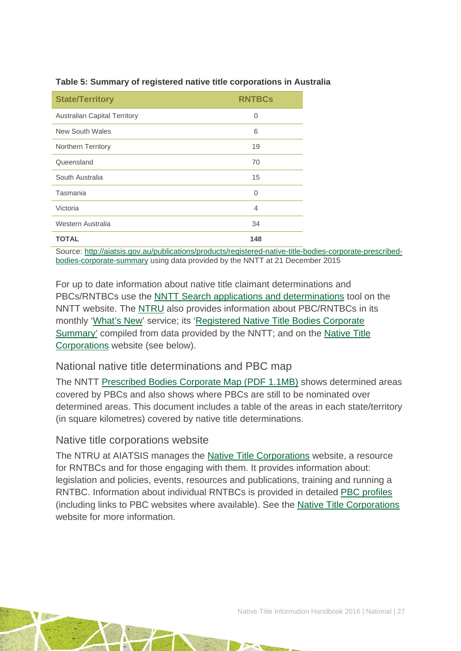| <b>State/Territory</b>              | <b>RNTBCs</b> |
|-------------------------------------|---------------|
| <b>Australian Capital Territory</b> | $\mathbf 0$   |
| New South Wales                     | 6             |
| <b>Northern Territory</b>           | 19            |
| Queensland                          | 70            |
| South Australia                     | 15            |
| Tasmania                            | 0             |
| Victoria                            | 4             |
| Western Australia                   | 34            |
| <b>TOTAL</b>                        | 148           |

#### **Table 5: Summary of registered native title corporations in Australia**

Source: [http://aiatsis.gov.au/publications/products/registered-native-title-bodies-corporate-prescribed](http://aiatsis.gov.au/publications/products/registered-native-title-bodies-corporate-prescribed-bodies-corporate-summary)[bodies-corporate-summary](http://aiatsis.gov.au/publications/products/registered-native-title-bodies-corporate-prescribed-bodies-corporate-summary) using data provided by the NNTT at 21 December 2015

For up to date information about native title claimant determinations and PBCs/RNTBCs use the [NNTT Search applications and determinations](http://www.nntt.gov.au/searchRegApps/NativeTitleClaims/Pages/default.aspx) tool on the NNTT website. The [NTRU](http://aiatsis.gov.au/research/research-themes/native-title) also provides information about PBC/RNTBCs in its monthly ['What's New'](http://aiatsis.gov.au/research/research-themes/native-title/publications/whats-new) service; its ['Registered Native Title Bodies Corporate](http://aiatsis.gov.au/publications/products/registered-native-title-bodies-corporate-prescribed-bodies-corporate-summary)  [Summary'](http://aiatsis.gov.au/publications/products/registered-native-title-bodies-corporate-prescribed-bodies-corporate-summary) compiled from data provided by the NNTT; and on the [Native Title](http://www.nativetitle.org.au/)  [Corporations](http://www.nativetitle.org.au/) website (see below).

#### National native title determinations and PBC map

The NNTT [Prescribed Bodies Corporate Map \(PDF 1.1MB\)](http://www.nntt.gov.au/Maps/Determinations_and_PBCs_map.pdf) shows determined areas covered by PBCs and also shows where PBCs are still to be nominated over determined areas. This document includes a table of the areas in each state/territory (in square kilometres) covered by native title determinations.

#### Native title corporations website

The NTRU at AIATSIS manages the [Native Title Corporations](http://www.nativetitle.org.au/) website, a resource for RNTBCs and for those engaging with them. It provides information about: legislation and policies, events, resources and publications, training and running a RNTBC. Information about individual RNTBCs is provided in detailed [PBC profiles](http://www.nativetitle.org.au/profiles.html) (including links to PBC websites where available). See the [Native Title Corporations](http://www.nativetitle.org.au/) website for more information.

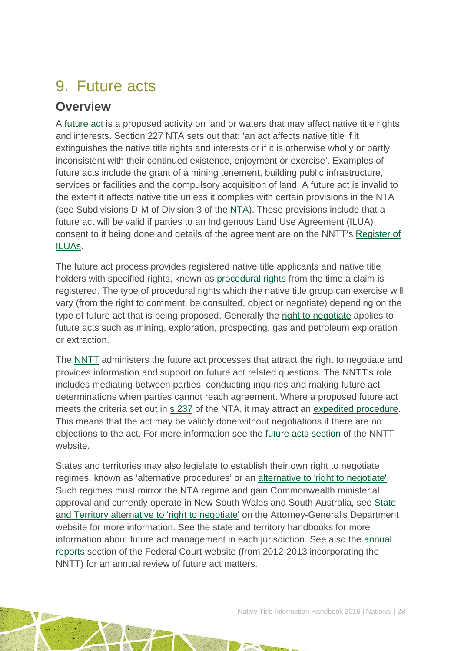## <span id="page-28-0"></span>9. Future acts

## **Overview**

A [future act](http://www.nntt.gov.au/Pages/Glossary.aspx) is a proposed activity on land or waters that may affect native title rights and interests. Section 227 NTA sets out that: 'an act affects native title if it extinguishes the native title rights and interests or if it is otherwise wholly or partly inconsistent with their continued existence, enjoyment or exercise'. Examples of future acts include the grant of a mining tenement, building public infrastructure, services or facilities and the compulsory acquisition of land. A future act is invalid to the extent it affects native title unless it complies with certain provisions in the NTA (see Subdivisions D-M of Division 3 of the [NTA\)](http://www.austlii.edu.au/au/legis/cth/consol_act/nta1993147/). These provisions include that a future act will be valid if parties to an Indigenous Land Use Agreement (ILUA) consent to it being done and details of the agreement are on the NNTT's [Register of](http://www.nntt.gov.au/searchRegApps/NativeTitleRegisters/Pages/Search-Register-of-Indigenous-Land-Use-Agreements.aspx)  [ILUAs.](http://www.nntt.gov.au/searchRegApps/NativeTitleRegisters/Pages/Search-Register-of-Indigenous-Land-Use-Agreements.aspx)

The future act process provides registered native title applicants and native title holders with specified rights, known as [procedural rights f](http://www.nntt.gov.au/Pages/Glossary.aspx)rom the time a claim is registered. The type of procedural rights which the native title group can exercise will vary (from the right to comment, be consulted, object or negotiate) depending on the type of future act that is being proposed. Generally the [right to negotiate](http://www.nntt.gov.au/Pages/Glossary.aspx) applies to future acts such as mining, exploration, prospecting, gas and petroleum exploration or extraction.

The [NNTT](http://www.nntt.gov.au/Pages/Home-Page.aspx) administers the future act processes that attract the right to negotiate and provides information and support on future act related questions. The NNTT's role includes mediating between parties, conducting inquiries and making future act determinations when parties cannot reach agreement. Where a proposed future act meets the criteria set out in [s 237](http://www.austlii.edu.au/au/legis/cth/consol_act/nta1993147/s237.html) of the NTA, it may attract an [expedited procedure.](http://www.nntt.gov.au/Pages/Glossary.aspx) This means that the act may be validly done without negotiations if there are no objections to the act. For more information see the [future acts section](http://www.nntt.gov.au/futureacts/Pages/default.aspx) of the NNTT website.

States and territories may also legislate to establish their own right to negotiate regimes, known as 'alternative procedures' or an [alternative to 'right to negotiate'.](http://www.ag.gov.au/LegalSystem/NativeTitle/Pages/StateAndTerritoryAlternativeToRightToNegotiate.aspx) Such regimes must mirror the NTA regime and gain Commonwealth ministerial approval and currently operate in New South Wales and South Australia, see [State](http://www.ag.gov.au/LegalSystem/NativeTitle/Pages/StateAndTerritoryAlternativeToRightToNegotiate.aspx)  [and Territory alternative to 'right to negotiate'](http://www.ag.gov.au/LegalSystem/NativeTitle/Pages/StateAndTerritoryAlternativeToRightToNegotiate.aspx) on the Attorney-General's Department website for more information. See the state and territory handbooks for more information about future act management in each jurisdiction. See also the [annual](http://www.fedcourt.gov.au/publications/annual-reports)  [reports](http://www.fedcourt.gov.au/publications/annual-reports) section of the Federal Court website (from 2012-2013 incorporating the NNTT) for an annual review of future act matters.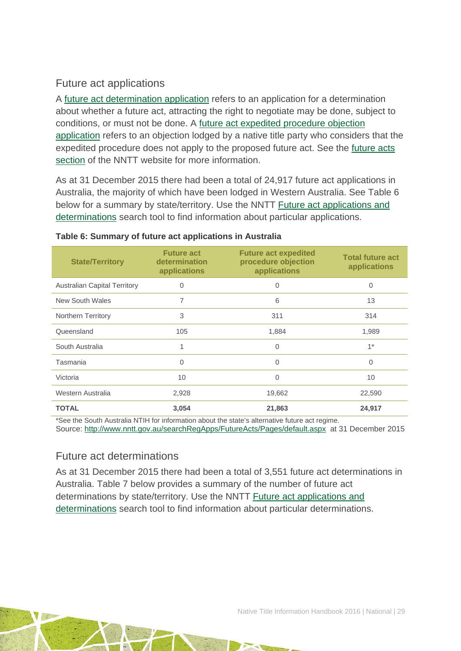### Future act applications

A [future act determination application](http://www.nntt.gov.au/futureacts/Pages/Future-act-Determination-Applications.aspx) refers to an application for a determination about whether a future act, attracting the right to negotiate may be done, subject to conditions, or must not be done. A [future act expedited procedure objection](http://www.nntt.gov.au/futureacts/Pages/Expedited-procedure-objections.aspx)  [application](http://www.nntt.gov.au/futureacts/Pages/Expedited-procedure-objections.aspx) refers to an objection lodged by a native title party who considers that the expedited procedure does not apply to the proposed future act. See the [future acts](http://www.nntt.gov.au/futureacts/Pages/default.aspx)  [section](http://www.nntt.gov.au/futureacts/Pages/default.aspx) of the NNTT website for more information.

As at 31 December 2015 there had been a total of 24,917 future act applications in Australia, the majority of which have been lodged in Western Australia. See Table 6 below for a summary by state/territory. Use the NNTT Future act applications and [determinations](http://www.nntt.gov.au/searchRegApps/FutureActs/Pages/default.aspx) search tool to find information about particular applications.

| <b>State/Territory</b>              | <b>Future act</b><br>determination<br>applications | <b>Future act expedited</b><br>procedure objection<br>applications | <b>Total future act</b><br>applications |
|-------------------------------------|----------------------------------------------------|--------------------------------------------------------------------|-----------------------------------------|
| <b>Australian Capital Territory</b> | 0                                                  | 0                                                                  | 0                                       |
| New South Wales                     | 7                                                  | 6                                                                  | 13                                      |
| <b>Northern Territory</b>           | 3                                                  | 311                                                                | 314                                     |
| Queensland                          | 105                                                | 1,884                                                              | 1,989                                   |
| South Australia                     | 1                                                  | $\Omega$                                                           | $1*$                                    |
| Tasmania                            | $\Omega$                                           | $\Omega$                                                           | $\Omega$                                |
| Victoria                            | 10                                                 | 0                                                                  | 10                                      |
| Western Australia                   | 2,928                                              | 19,662                                                             | 22,590                                  |
| <b>TOTAL</b>                        | 3,054                                              | 21,863                                                             | 24,917                                  |

#### **Table 6: Summary of future act applications in Australia**

\*See the South Australia NTIH for information about the state's alternative future act regime. Source:<http://www.nntt.gov.au/searchRegApps/FutureActs/Pages/default.aspx> at 31 December 2015

#### Future act determinations

As at 31 December 2015 there had been a total of 3,551 future act determinations in Australia. Table 7 below provides a summary of the number of future act determinations by state/territory. Use the NNTT [Future act applications and](http://www.nntt.gov.au/searchRegApps/FutureActs/Pages/default.aspx)  [determinations](http://www.nntt.gov.au/searchRegApps/FutureActs/Pages/default.aspx) search tool to find information about particular determinations.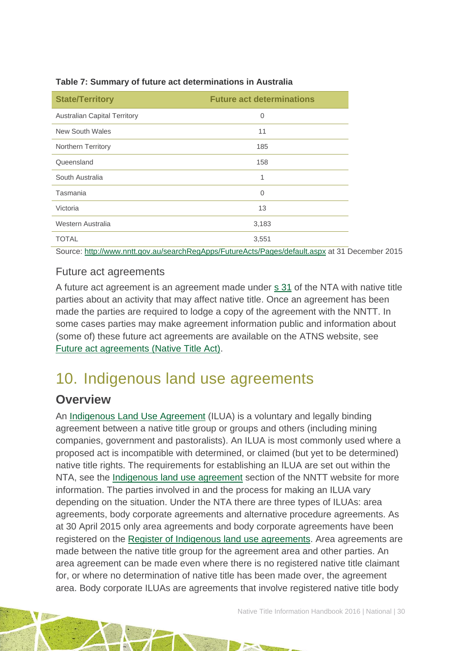| <b>State/Territory</b>              | <b>Future act determinations</b>                                                                                                                                      |
|-------------------------------------|-----------------------------------------------------------------------------------------------------------------------------------------------------------------------|
| <b>Australian Capital Territory</b> | $\overline{0}$                                                                                                                                                        |
| New South Wales                     | 11                                                                                                                                                                    |
| Northern Territory                  | 185                                                                                                                                                                   |
| Queensland                          | 158                                                                                                                                                                   |
| South Australia                     | 1                                                                                                                                                                     |
| Tasmania                            | $\overline{0}$                                                                                                                                                        |
| Victoria                            | 13                                                                                                                                                                    |
| Western Australia                   | 3,183                                                                                                                                                                 |
| <b>TOTAL</b>                        | 3,551                                                                                                                                                                 |
|                                     | $\mathbf{u} = \mathbf{u}$ , $\mathbf{u} = \mathbf{u}$ , $\mathbf{u} = \mathbf{u}$ , $\mathbf{u} = \mathbf{u}$ , $\mathbf{u} = \mathbf{u}$ , $\mathbf{u} = \mathbf{u}$ |

#### **Table 7: Summary of future act determinations in Australia**

Source: <http://www.nntt.gov.au/searchRegApps/FutureActs/Pages/default.aspx> at 31 December 2015

#### Future act agreements

A future act agreement is an agreement made under [s 31](http://www.austlii.edu.au/au/legis/cth/consol_act/nta1993147/s31.html) of the NTA with native title parties about an activity that may affect native title. Once an agreement has been made the parties are required to lodge a copy of the agreement with the NNTT. In some cases parties may make agreement information public and information about (some of) these future act agreements are available on the ATNS website, see [Future act agreements \(Native Title Act\).](http://www.atns.net.au/subcategory.asp?subcategoryID=120)

## <span id="page-30-0"></span>10. Indigenous land use agreements

### **Overview**

An [Indigenous Land Use Agreement](http://www.nntt.gov.au/Pages/Glossary.aspx) (ILUA) is a voluntary and legally binding agreement between a native title group or groups and others (including mining companies, government and pastoralists). An ILUA is most commonly used where a proposed act is incompatible with determined, or claimed (but yet to be determined) native title rights. The requirements for establishing an ILUA are set out within the NTA, see the [Indigenous land use agreement](http://www.nntt.gov.au/ILUAs/Pages/default.aspx) section of the NNTT website for more information. The parties involved in and the process for making an ILUA vary depending on the situation. Under the NTA there are three types of ILUAs: area agreements, body corporate agreements and alternative procedure agreements. As at 30 April 2015 only area agreements and body corporate agreements have been registered on the [Register of Indigenous land use agreements.](http://www.nntt.gov.au/searchRegApps/NativeTitleRegisters/Pages/Search-Register-of-Indigenous-Land-Use-Agreements.aspx) Area agreements are made between the native title group for the agreement area and other parties. An area agreement can be made even where there is no registered native title claimant for, or where no determination of native title has been made over, the agreement area. Body corporate ILUAs are agreements that involve registered native title body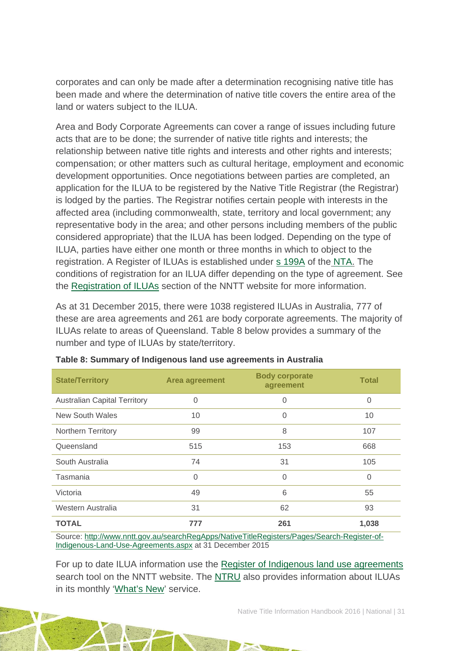corporates and can only be made after a determination recognising native title has been made and where the determination of native title covers the entire area of the land or waters subject to the ILUA.

Area and Body Corporate Agreements can cover a range of issues including future acts that are to be done; the surrender of native title rights and interests; the relationship between native title rights and interests and other rights and interests; compensation; or other matters such as cultural heritage, employment and economic development opportunities. Once negotiations between parties are completed, an application for the ILUA to be registered by the Native Title Registrar (the Registrar) is lodged by the parties. The Registrar notifies certain people with interests in the affected area (including commonwealth, state, territory and local government; any representative body in the area; and other persons including members of the public considered appropriate) that the ILUA has been lodged. Depending on the type of ILUA, parties have either one month or three months in which to object to the registration. A Register of ILUAs is established under [s 199A](http://www.austlii.edu.au/au/legis/cth/consol_act/nta1993147/s199a.html) of the [NTA.](http://www.austlii.edu.au/au/legis/cth/consol_act/nta1993147/) The conditions of registration for an ILUA differ depending on the type of agreement. See the [Registration of ILUAs](http://www.nntt.gov.au/ILUAs/Pages/Registration-of-ILUAs.aspx) section of the NNTT website for more information.

As at 31 December 2015, there were 1038 registered ILUAs in Australia, 777 of these are area agreements and 261 are body corporate agreements. The majority of ILUAs relate to areas of Queensland. Table 8 below provides a summary of the number and type of ILUAs by state/territory.

| <b>State/Territory</b>              | <b>Area agreement</b> | <b>Body corporate</b><br>agreement | <b>Total</b> |
|-------------------------------------|-----------------------|------------------------------------|--------------|
| <b>Australian Capital Territory</b> | $\Omega$              | 0                                  | $\Omega$     |
| New South Wales                     | 10                    | $\Omega$                           | 10           |
| Northern Territory                  | 99                    | 8                                  | 107          |
| Queensland                          | 515                   | 153                                | 668          |
| South Australia                     | 74                    | 31                                 | 105          |
| Tasmania                            | $\Omega$              | $\Omega$                           | $\Omega$     |
| Victoria                            | 49                    | 6                                  | 55           |
| Western Australia                   | 31                    | 62                                 | 93           |
| <b>TOTAL</b>                        | 777                   | 261                                | 1,038        |

|  | Table 8: Summary of Indigenous land use agreements in Australia |  |  |
|--|-----------------------------------------------------------------|--|--|
|  |                                                                 |  |  |

Source: [http://www.nntt.gov.au/searchRegApps/NativeTitleRegisters/Pages/Search-Register-of-](http://www.nntt.gov.au/searchRegApps/NativeTitleRegisters/Pages/Search-Register-of-Indigenous-Land-Use-Agreements.aspx)[Indigenous-Land-Use-Agreements.aspx](http://www.nntt.gov.au/searchRegApps/NativeTitleRegisters/Pages/Search-Register-of-Indigenous-Land-Use-Agreements.aspx) at 31 December 2015

For up to date ILUA information use the [Register of Indigenous land use agreements](http://www.nntt.gov.au/searchRegApps/NativeTitleRegisters/Pages/Search-Register-of-Indigenous-Land-Use-Agreements.aspx) search tool on the NNTT website. The [NTRU](http://aiatsis.gov.au/research/research-themes/native-title) also provides information about ILUAs in its monthly ['What's New'](http://aiatsis.gov.au/research/research-themes/native-title/publications/whats-new) service.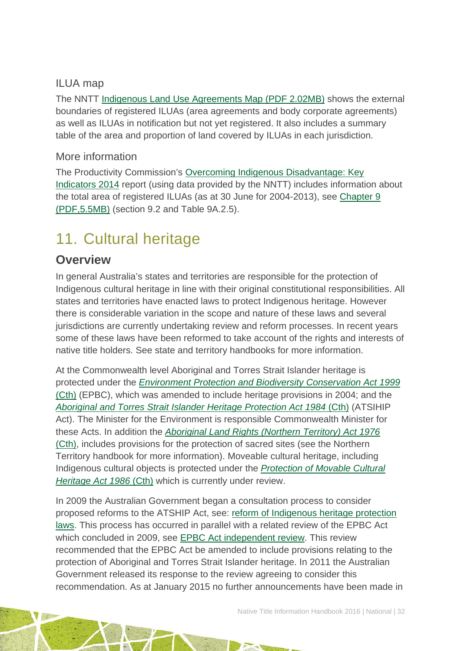### ILUA map

The NNTT [Indigenous Land Use Agreements Map \(PDF 2.02MB\)](http://www.nntt.gov.au/Maps/ILUAs_map.pdf) shows the external boundaries of registered ILUAs (area agreements and body corporate agreements) as well as ILUAs in notification but not yet registered. It also includes a summary table of the area and proportion of land covered by ILUAs in each jurisdiction.

#### More information

The Productivity Commission's [Overcoming Indigenous Disadvantage: Key](http://www.pc.gov.au/research/recurring/overcoming-indigenous-disadvantage/key-indicators-2014)  [Indicators 2014](http://www.pc.gov.au/research/recurring/overcoming-indigenous-disadvantage/key-indicators-2014) report (using data provided by the NNTT) includes information about the total area of registered ILUAs (as at 30 June for 2004-2013), see [Chapter 9](http://www.pc.gov.au/research/recurring/overcoming-indigenous-disadvantage/key-indicators-2014/09-key-indicators-2014-chapter9.pdf)  [\(PDF,5.5MB\)](http://www.pc.gov.au/research/recurring/overcoming-indigenous-disadvantage/key-indicators-2014/09-key-indicators-2014-chapter9.pdf) (section 9.2 and Table 9A.2.5).

## <span id="page-32-0"></span>11. Cultural heritage

### **Overview**

In general Australia's states and territories are responsible for the protection of Indigenous cultural heritage in line with their original constitutional responsibilities. All states and territories have enacted laws to protect Indigenous heritage. However there is considerable variation in the scope and nature of these laws and several jurisdictions are currently undertaking review and reform processes. In recent years some of these laws have been reformed to take account of the rights and interests of native title holders. See state and territory handbooks for more information.

At the Commonwealth level Aboriginal and Torres Strait Islander heritage is protected under the *[Environment Protection and Biodiversity Conservation Act 1999](http://www.austlii.edu.au/au/legis/cth/consol_act/epabca1999588/)*  [\(Cth\)](http://www.austlii.edu.au/au/legis/cth/consol_act/epabca1999588/) (EPBC), which was amended to include heritage provisions in 2004; and the *[Aboriginal and Torres Strait Islander Heritage Protection Act 1984](http://www.austlii.edu.au/au/legis/cth/consol_act/aatsihpa1984549/)* (Cth) (ATSIHIP Act). The Minister for the Environment is responsible Commonwealth Minister for these Acts. In addition the *[Aboriginal Land Rights \(Northern Territory\) Act 1976](http://www.austlii.edu.au/au/legis/cth/consol_act/alrta1976444/)* [\(Cth\),](http://www.austlii.edu.au/au/legis/cth/consol_act/alrta1976444/) includes provisions for the protection of sacred sites (see the Northern Territory handbook for more information). Moveable cultural heritage, including Indigenous cultural objects is protected under the *[Protection of Movable Cultural](https://www.comlaw.gov.au/Details/C2011C00238)  [Heritage Act 1986](https://www.comlaw.gov.au/Details/C2011C00238)* (Cth) which is currently under review.

In 2009 the Australian Government began a consultation process to consider proposed reforms to the ATSHIP Act, see: [reform of Indigenous heritage protection](http://www.environment.gov.au/topics/heritage/laws-and-notices/indigenous-heritage-laws/reform-indigenous-heritage-protection-laws)  [laws.](http://www.environment.gov.au/topics/heritage/laws-and-notices/indigenous-heritage-laws/reform-indigenous-heritage-protection-laws) This process has occurred in parallel with a related review of the EPBC Act which concluded in 2009, see [EPBC Act independent review.](http://www.environment.gov.au/legislation/environment-protection-and-biodiversity-conservation-act/epbc-review-2008) This review recommended that the EPBC Act be amended to include provisions relating to the protection of Aboriginal and Torres Strait Islander heritage. In 2011 the Australian Government released its response to the review agreeing to consider this recommendation. As at January 2015 no further announcements have been made in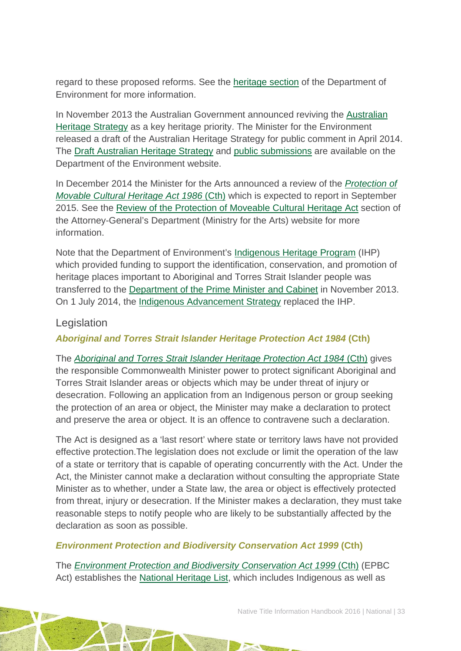regard to these proposed reforms. See the [heritage section](http://www.environment.gov.au/heritage) of the Department of Environment for more information.

In November 2013 the Australian Government announced reviving the [Australian](http://www.environment.gov.au/heritage/australian-heritage-strategy)  [Heritage Strategy](http://www.environment.gov.au/heritage/australian-heritage-strategy) as a key heritage priority. The Minister for the Environment released a draft of the Australian Heritage Strategy for public comment in April 2014. The [Draft Australian Heritage Strategy](http://www.environment.gov.au/heritage/publications/draft-heritage-strategy) and [public submissions](http://www.environment.gov.au/heritage/australian-heritage-strategy/getting-involved) are available on the Department of the Environment website.

In December 2014 the Minister for the Arts announced a review of the *[Protection of](https://www.comlaw.gov.au/Details/C2011C00238)  [Movable Cultural Heritage Act 1986](https://www.comlaw.gov.au/Details/C2011C00238)* (Cth) which is expected to report in September 2015. See the [Review of the Protection of Moveable Cultural Heritage Act](http://arts.gov.au/topics/public-consultations/review-protection-movable-cultural-heritage-act) section of the Attorney-General's Department (Ministry for the Arts) website for more information.

Note that the Department of Environment's [Indigenous Heritage Program](http://www.environment.gov.au/heritage/grants-funding/indigenous-heritage-programme) (IHP) which provided funding to support the identification, conservation, and promotion of heritage places important to Aboriginal and Torres Strait Islander people was transferred to the [Department of the Prime Minister and Cabinet](http://www.dpmc.gov.au/indigenous-affairs) in November 2013. On 1 July 2014, the [Indigenous Advancement Strategy](http://www.dpmc.gov.au/indigenous-affairs/about/indigenous-advancement-strategy) replaced the IHP.

#### Legislation

*Aboriginal and Torres Strait Islander Heritage Protection Act 1984* **(Cth)** 

The *[Aboriginal and Torres Strait Islander Heritage Protection Act 1984](http://www.austlii.edu.au/au/legis/cth/consol_act/aatsihpa1984549/)* (Cth) gives the responsible Commonwealth Minister power to protect significant Aboriginal and Torres Strait Islander areas or objects which may be under threat of injury or desecration. Following an application from an Indigenous person or group seeking the protection of an area or object, the Minister may make a declaration to protect and preserve the area or object. It is an offence to contravene such a declaration.

The Act is designed as a 'last resort' where state or territory laws have not provided effective protection.The legislation does not exclude or limit the operation of the law of a state or territory that is capable of operating concurrently with the Act. Under the Act, the Minister cannot make a declaration without consulting the appropriate State Minister as to whether, under a State law, the area or object is effectively protected from threat, injury or desecration. If the Minister makes a declaration, they must take reasonable steps to notify people who are likely to be substantially affected by the declaration as soon as possible.

#### *Environment Protection and Biodiversity Conservation Act 1999* **(Cth)**

The *[Environment Protection and Biodiversity Conservation Act 1999](http://www.austlii.edu.au/au/legis/cth/consol_act/epabca1999588/)* (Cth) (EPBC Act) establishes the [National Heritage List,](http://www.environment.gov.au/heritage/about/national) which includes Indigenous as well as

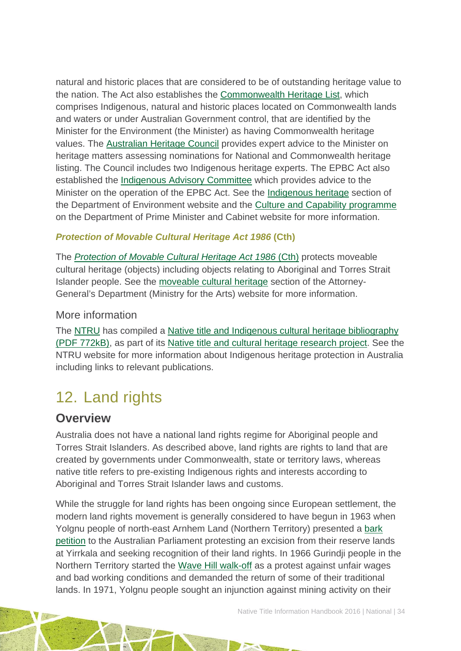natural and historic places that are considered to be of outstanding heritage value to the nation. The Act also establishes the [Commonwealth Heritage List,](http://www.environment.gov.au/heritage/about/commonwealth-heritage) which comprises Indigenous, natural and historic places located on Commonwealth lands and waters or under Australian Government control, that are identified by the Minister for the Environment (the Minister) as having Commonwealth heritage values. The [Australian Heritage Council](http://www.environment.gov.au/heritage/organisations/australian-heritage-council) provides expert advice to the Minister on heritage matters assessing nominations for National and Commonwealth heritage listing. The Council includes two Indigenous heritage experts. The EPBC Act also established the [Indigenous Advisory Committee](http://www.environment.gov.au/indigenous/committees/iac.html) which provides advice to the Minister on the operation of the EPBC Act. See the [Indigenous heritage](http://www.environment.gov.au/heritage/about/indigenous-heritage) section of the Department of Environment website and the [Culture and Capability programme](http://www.dpmc.gov.au/indigenous-affairs/about/culture-and-capability-programme) on the Department of Prime Minister and Cabinet website for more information.

#### *Protection of Movable Cultural Heritage Act 1986* **(Cth)**

The *[Protection of Movable Cultural Heritage Act 1986](https://www.comlaw.gov.au/Details/C2011C00238)* (Cth) protects moveable cultural heritage (objects) including objects relating to Aboriginal and Torres Strait Islander people. See the [moveable cultural heritage](http://arts.gov.au/movable) section of the Attorney-General's Department (Ministry for the Arts) website for more information.

#### More information

The [NTRU](http://aiatsis.gov.au/research/research-themes/native-title) has compiled a Native title and Indigenous cultural heritage bibliography [\(PDF 772kB\),](http://aiatsis.gov.au/publications/products/native-title-and-indigenous-cultural-heritage-management-bibliography) as part of its [Native title and cultural heritage research project.](http://aiatsis.gov.au/research-and-guides/native-title-and-cultural-heritage) See the NTRU website for more information about Indigenous heritage protection in Australia including links to relevant publications.

## <span id="page-34-0"></span>12. Land rights

### **Overview**

Australia does not have a national land rights regime for Aboriginal people and Torres Strait Islanders. As described above, land rights are rights to land that are created by governments under Commonwealth, state or territory laws, whereas native title refers to pre-existing Indigenous rights and interests according to Aboriginal and Torres Strait Islander laws and customs.

While the struggle for land rights has been ongoing since European settlement, the modern land rights movement is generally considered to have begun in 1963 when Yolgnu people of north-east Arnhem Land (Northern Territory) presented a [bark](http://www.atns.net.au/agreement.asp?EntityID=1783)  [petition](http://www.atns.net.au/agreement.asp?EntityID=1783) to the Australian Parliament protesting an excision from their reserve lands at Yirrkala and seeking recognition of their land rights. In 1966 Gurindji people in the Northern Territory started the [Wave Hill walk-off](http://www.atns.net.au/agreement.asp?EntityID=1074) as a protest against unfair wages and bad working conditions and demanded the return of some of their traditional lands. In 1971, Yolgnu people sought an injunction against mining activity on their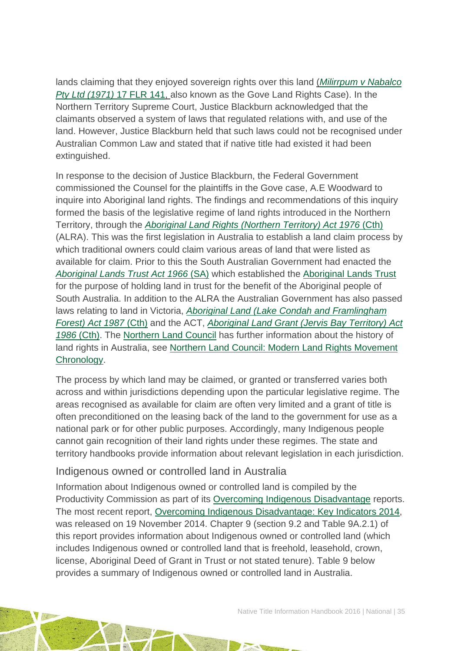lands claiming that they enjoyed sovereign rights over this land (*[Milirrpum v Nabalco](http://www.atns.net.au/agreement.asp?EntityID=1611)  [Pty Ltd \(1971\)](http://www.atns.net.au/agreement.asp?EntityID=1611)* 17 FLR 141, also known as the Gove Land Rights Case). In the Northern Territory Supreme Court, Justice Blackburn acknowledged that the claimants observed a system of laws that regulated relations with, and use of the land. However, Justice Blackburn held that such laws could not be recognised under Australian Common Law and stated that if native title had existed it had been extinguished.

In response to the decision of Justice Blackburn, the Federal Government commissioned the Counsel for the plaintiffs in the Gove case, A.E Woodward to inquire into Aboriginal land rights. The findings and recommendations of this inquiry formed the basis of the legislative regime of land rights introduced in the Northern Territory, through the *[Aboriginal Land Rights \(Northern Territory\) Act 1976](http://www.austlii.edu.au/au/legis/cth/consol_act/alrta1976444/)* (Cth) (ALRA). This was the first legislation in Australia to establish a land claim process by which traditional owners could claim various areas of land that were listed as available for claim. Prior to this the South Australian Government had enacted the *[Aboriginal Lands Trust Act 1966](http://www.atns.net.au/agreement.asp?EntityID=1627)* (SA) which established the [Aboriginal Lands Trust](http://www.alt.sa.gov.au/) for the purpose of holding land in trust for the benefit of the Aboriginal people of South Australia. In addition to the ALRA the Australian Government has also passed laws relating to land in Victoria, *[Aboriginal Land \(Lake Condah and Framlingham](http://www.austlii.edu.au/au/legis/cth/num_act/alcaffa1987374/)  [Forest\) Act 1987](http://www.austlii.edu.au/au/legis/cth/num_act/alcaffa1987374/)* [\(Cth\)](http://www.austlii.edu.au/au/legis/cth/consol_act/alcaffa1987374/) and the ACT, *[Aboriginal Land Grant \(Jervis Bay Territory\) Act](http://www.austlii.edu.au/au/legis/cth/consol_act/algbta1986422/)  1986* [\(Cth\).](http://www.austlii.edu.au/au/legis/cth/consol_act/algbta1986422/) The [Northern Land Council](http://www.nlc.org.au/) has further information about the history of land rights in Australia, see [Northern Land Council: Modern Land Rights Movement](http://www.nlc.org.au/articles/info/history-of-the-nlc/)  [Chronology.](http://www.nlc.org.au/articles/info/history-of-the-nlc/)

The process by which land may be claimed, or granted or transferred varies both across and within jurisdictions depending upon the particular legislative regime. The areas recognised as available for claim are often very limited and a grant of title is often preconditioned on the leasing back of the land to the government for use as a national park or for other public purposes. Accordingly, many Indigenous people cannot gain recognition of their land rights under these regimes. The state and territory handbooks provide information about relevant legislation in each jurisdiction.

#### Indigenous owned or controlled land in Australia

Information about Indigenous owned or controlled land is compiled by the Productivity Commission as part of its [Overcoming Indigenous Disadvantage](http://www.pc.gov.au/research/recurring/overcoming-indigenous-disadvantage) reports. The most recent report, [Overcoming Indigenous Disadvantage: Key Indicators 2014,](http://www.pc.gov.au/research/recurring/overcoming-indigenous-disadvantage/key-indicators-2014) was released on 19 November 2014. Chapter 9 (section 9.2 and Table 9A.2.1) of this report provides information about Indigenous owned or controlled land (which includes Indigenous owned or controlled land that is freehold, leasehold, crown, license, Aboriginal Deed of Grant in Trust or not stated tenure). Table 9 below provides a summary of Indigenous owned or controlled land in Australia.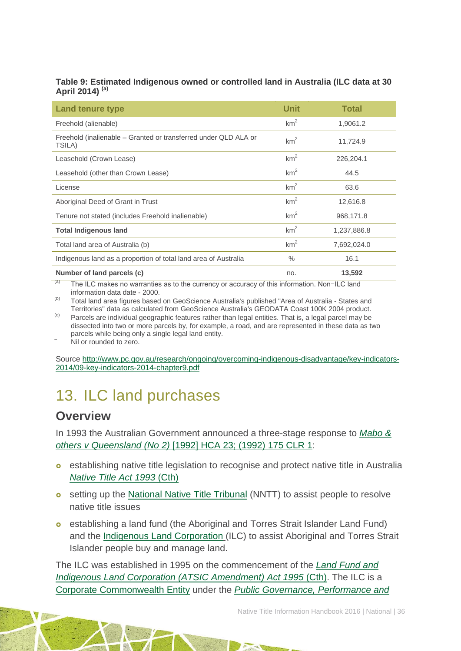#### **Table 9: Estimated Indigenous owned or controlled land in Australia (ILC data at 30 April 2014) (a)**

| <b>Land tenure type</b>                                                   | <b>Unit</b>     | <b>Total</b> |
|---------------------------------------------------------------------------|-----------------|--------------|
| Freehold (alienable)                                                      | km <sup>2</sup> | 1,9061.2     |
| Freehold (inalienable – Granted or transferred under QLD ALA or<br>TSILA) | km <sup>2</sup> | 11,724.9     |
| Leasehold (Crown Lease)                                                   | km <sup>2</sup> | 226,204.1    |
| Leasehold (other than Crown Lease)                                        | km <sup>2</sup> | 44.5         |
| License                                                                   | km <sup>2</sup> | 63.6         |
| Aboriginal Deed of Grant in Trust                                         | km <sup>2</sup> | 12,616.8     |
| Tenure not stated (includes Freehold inalienable)                         | km <sup>2</sup> | 968,171.8    |
| <b>Total Indigenous land</b>                                              | km <sup>2</sup> | 1,237,886.8  |
| Total land area of Australia (b)                                          | km <sup>2</sup> | 7,692,024.0  |
| Indigenous land as a proportion of total land area of Australia           | $\%$            | 16.1         |
| Number of land parcels (c)                                                | no.             | 13,592       |

 $(a)$  The ILC makes no warranties as to the currency or accuracy of this information. Non-ILC land information data date - 2000.

(b) Total land area figures based on GeoScience Australia's published "Area of Australia - States and Territories" data as calculated from GeoScience Australia's GEODATA Coast 100K 2004 product.

<sup>(c)</sup> Parcels are individual geographic features rather than legal entities. That is, a legal parcel may be dissected into two or more parcels by, for example, a road, and are represented in these data as two parcels while being only a single legal land entity.<br>Nil or rounded to zero.

Source [http://www.pc.gov.au/research/ongoing/overcoming-indigenous-disadvantage/key-indicators-](http://www.pc.gov.au/research/ongoing/overcoming-indigenous-disadvantage/key-indicators-2014/09-key-indicators-2014-chapter9.pdf)[2014/09-key-indicators-2014-chapter9.pdf](http://www.pc.gov.au/research/ongoing/overcoming-indigenous-disadvantage/key-indicators-2014/09-key-indicators-2014-chapter9.pdf)

## <span id="page-36-0"></span>13. ILC land purchases

### **Overview**

In 1993 the Australian Government announced a three-stage response to *[Mabo &](http://www.austlii.edu.au/au/cases/cth/high_ct/175clr1.html)  [others v Queensland \(No 2\)](http://www.austlii.edu.au/au/cases/cth/high_ct/175clr1.html)* [1992] HCA 23; (1992) 175 CLR 1:

- **e** establishing native title legislation to recognise and protect native title in Australia *[Native Title Act 1993](http://www5.austlii.edu.au/au/legis/cth/consol_act/nta1993147/)* (Cth)
- **o** setting up the [National Native Title Tribunal](http://www.nntt.gov.au/) (NNTT) to assist people to resolve native title issues
- establishing a land fund (the Aboriginal and Torres Strait Islander Land Fund) and the [Indigenous Land Corporation](http://www.ilc.gov.au/site/page.cfm) (ILC) to assist Aboriginal and Torres Strait Islander people buy and manage land.

The ILC was established in 1995 on the commencement of the *[Land Fund and](http://www.austlii.edu.au/au/legis/cth/num_act/lfailcaa1995499/)  [Indigenous Land Corporation \(ATSIC Amendment\) Act 1995](http://www.austlii.edu.au/au/legis/cth/num_act/lfailcaa1995499/) (Cth).* The ILC is a [Corporate Commonwealth Entity](http://www.austlii.edu.au/au/legis/cth/consol_act/pgpaaa2013432/s11.html) under the *[Public Governance, Performance and](http://www.austlii.edu.au/au/legis/cth/consol_act/pgpaaa2013432/)*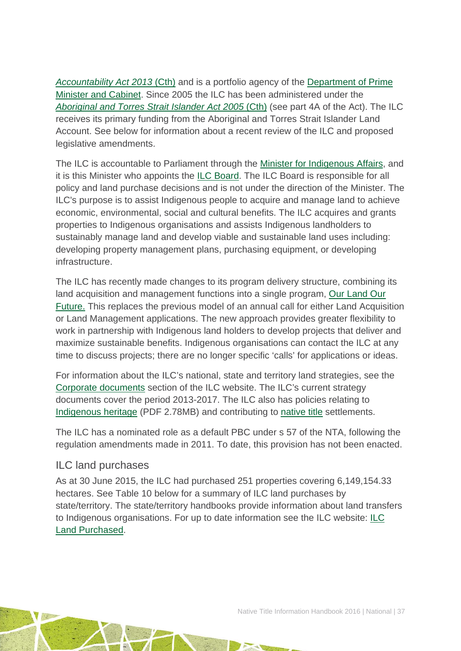*[Accountability Act 2013](http://www.austlii.edu.au/au/legis/cth/consol_act/pgpaaa2013432/)* (Cth) and is a portfolio agency of the [Department of Prime](https://www.dpmc.gov.au/)  [Minister and Cabinet.](https://www.dpmc.gov.au/) Since 2005 the ILC has been administered under the *[Aboriginal and Torres Strait Islander Act 2005](http://www.austlii.edu.au/au/legis/cth/consol_act/aatsia2005359/)* (Cth) (see part 4A of the Act). The ILC receives its primary funding from the Aboriginal and Torres Strait Islander Land Account. See below for information about a recent review of the ILC and proposed legislative amendments.

The ILC is accountable to Parliament through the Minister [for Indigenous Affairs,](http://minister.indigenous.gov.au/) and it is this Minister who appoints the [ILC Board.](http://www.ilc.gov.au/Home/About-Us/ILC-Board) The ILC Board is responsible for all policy and land purchase decisions and is not under the direction of the Minister. The ILC's purpose is to assist Indigenous people to acquire and manage land to achieve economic, environmental, social and cultural benefits. The ILC acquires and grants properties to Indigenous organisations and assists Indigenous landholders to sustainably manage land and develop viable and sustainable land uses including: developing property management plans, purchasing equipment, or developing infrastructure.

The ILC has recently made changes to its program delivery structure, combining its land acquisition and management functions into a single program, [Our Land Our](http://www.ilc.gov.au/Home/Our-Land-Program)  [Future.](http://www.ilc.gov.au/Home/Our-Land-Program) This replaces the previous model of an annual call for either Land Acquisition or Land Management applications. The new approach provides greater flexibility to work in partnership with Indigenous land holders to develop projects that deliver and maximize sustainable benefits. Indigenous organisations can contact the ILC at any time to discuss projects; there are no longer specific 'calls' for applications or ideas.

For information about the ILC's national, state and territory land strategies, see the [Corporate documents](http://www.ilc.gov.au/Home/Publications/Corporate-Documents) section of the ILC website. The ILC's current strategy documents cover the period 2013-2017. The ILC also has policies relating to [Indigenous heritage](http://www.ilc.gov.au/IndigenousLandCorporation/media/Items/Content/Publications/Corporate%20Documents/IndigenousLandCorporationHeritageStrategy2013.pdf) (PDF 2.78MB) and contributing to [native title](http://www.ilc.gov.au/Home/Publications/ILC-Native-Title-Policy) settlements.

The ILC has a nominated role as a default PBC under s 57 of the NTA, following the regulation amendments made in 2011. To date, this provision has not been enacted.

#### ILC land purchases

As at 30 June 2015, the ILC had purchased 251 properties covering 6,149,154.33 hectares. See Table 10 below for a summary of ILC land purchases by state/territory. The state/territory handbooks provide information about land transfers to Indigenous organisations. For up to date information see the ILC website: [ILC](http://www.ilc.gov.au/Home/Land-Purchased/Land-Purchased-All-States)  [Land Purchased.](http://www.ilc.gov.au/Home/Land-Purchased/Land-Purchased-All-States)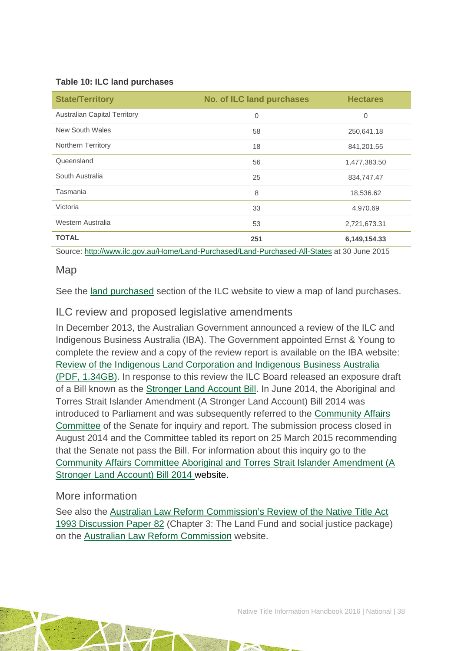#### **Table 10: ILC land purchases**

| <b>State/Territory</b>              | <b>No. of ILC land purchases</b> | <b>Hectares</b> |  |
|-------------------------------------|----------------------------------|-----------------|--|
| <b>Australian Capital Territory</b> | 0                                | $\overline{0}$  |  |
| New South Wales                     | 58                               | 250,641.18      |  |
| Northern Territory                  | 18                               | 841,201.55      |  |
| Queensland                          | 56                               | 1,477,383.50    |  |
| South Australia                     | 25                               | 834,747.47      |  |
| Tasmania                            | 8                                | 18,536.62       |  |
| Victoria                            | 33                               | 4,970.69        |  |
| Western Australia                   | 53                               | 2,721,673.31    |  |
| <b>TOTAL</b>                        | 251                              | 6,149,154.33    |  |

Source:<http://www.ilc.gov.au/Home/Land-Purchased/Land-Purchased-All-States> at 30 June 2015

#### Map

See the [land purchased](http://www.ilc.gov.au/Home/Land-Purchased) section of the ILC website to view a map of land purchases.

#### ILC review and proposed legislative amendments

In December 2013, the Australian Government announced a review of the ILC and Indigenous Business Australia (IBA). The Government appointed Ernst & Young to complete the review and a copy of the review report is available on the IBA website: [Review of the Indigenous Land Corporation and Indigenous Business Australia](http://www.iba.gov.au/wp-content/uploads/2014/05/20140506Report_Ernst-and-Young-Review-of-the-ILC-and-IBA.pdf)  [\(PDF, 1.34GB\).](http://www.iba.gov.au/wp-content/uploads/2014/05/20140506Report_Ernst-and-Young-Review-of-the-ILC-and-IBA.pdf) In response to this review the ILC Board released an exposure draft of a Bill known as the [Stronger Land Account Bill.](http://www.ilc.gov.au/Home/Media/Stronger-Land-Account-Draft-Bill) In June 2014, the Aboriginal and Torres Strait Islander Amendment (A Stronger Land Account) Bill 2014 was introduced to Parliament and was subsequently referred to the [Community Affairs](http://www.aph.gov.au/Parliamentary_Business/Committees/Senate/Community_Affairs)  [Committee](http://www.aph.gov.au/Parliamentary_Business/Committees/Senate/Community_Affairs) of the Senate for inquiry and report. The submission process closed in August 2014 and the Committee tabled its report on 25 March 2015 recommending that the Senate not pass the Bill. For information about this inquiry go to the [Community Affairs Committee Aboriginal and Torres Strait Islander Amendment \(A](http://www.aph.gov.au/parliamentary_business/committees/senate/community_affairs/stronger_land_account)  [Stronger Land Account\) Bill 2014](http://www.aph.gov.au/parliamentary_business/committees/senate/community_affairs/stronger_land_account) website.

#### More information

See also the [Australian Law Reform Commission's Review of the Native Title Act](http://www.alrc.gov.au/publications/native-title-dp82)  [1993 Discussion Paper 82](http://www.alrc.gov.au/publications/native-title-dp82) (Chapter 3: The Land Fund and social justice package) on the [Australian Law Reform Commission](http://www.alrc.gov.au/) website.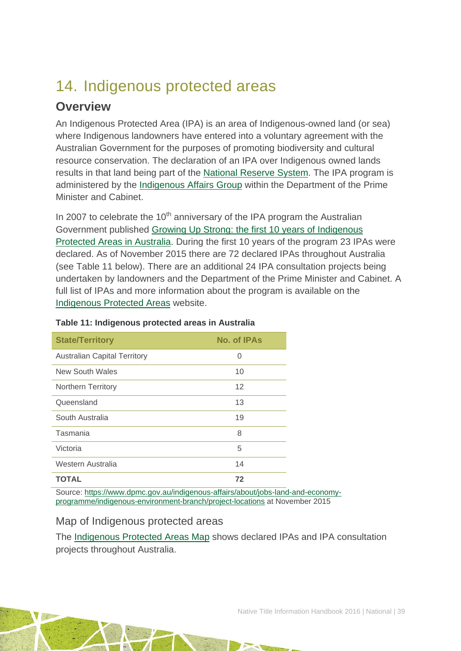## <span id="page-39-0"></span>14. Indigenous protected areas

## **Overview**

An Indigenous Protected Area (IPA) is an area of Indigenous-owned land (or sea) where Indigenous landowners have entered into a voluntary agreement with the Australian Government for the purposes of promoting biodiversity and cultural resource conservation. The declaration of an IPA over Indigenous owned lands results in that land being part of the [National Reserve System.](http://www.environment.gov.au/land/nrs) The IPA program is administered by the [Indigenous Affairs Group](https://www.dpmc.gov.au/indigenous-affairs) within the Department of the Prime Minister and Cabinet.

In 2007 to celebrate the 10<sup>th</sup> anniversary of the IPA program the Australian Government published [Growing Up Strong: the first 10 years of Indigenous](http://www.environment.gov.au/indigenous/publications/growingupstrong.html)  [Protected Areas in Australia.](http://www.environment.gov.au/indigenous/publications/growingupstrong.html) During the first 10 years of the program 23 IPAs were declared. As of November 2015 there are 72 declared IPAs throughout Australia (see Table 11 below). There are an additional 24 IPA consultation projects being undertaken by landowners and the Department of the Prime Minister and Cabinet. A full list of IPAs and more information about the program is available on the [Indigenous Protected Areas](http://www.environment.gov.au/indigenous/ipa/index.html) website.

| <b>State/Territory</b>              | No. of IPAs |  |
|-------------------------------------|-------------|--|
| <b>Australian Capital Territory</b> | O           |  |
| <b>New South Wales</b>              | 10          |  |
| <b>Northern Territory</b>           | 12          |  |
| Queensland                          | 13          |  |
| South Australia                     | 19          |  |
| Tasmania                            | 8           |  |
| Victoria                            | 5           |  |
| Western Australia                   | 14          |  |
| <b>TOTAL</b>                        | 72          |  |

#### **Table 11: Indigenous protected areas in Australia**

Source: [https://www.dpmc.gov.au/indigenous-affairs/about/jobs-land-and-economy](https://www.dpmc.gov.au/indigenous-affairs/about/jobs-land-and-economy-programme/indigenous-environment-branch/project-locations)[programme/indigenous-environment-branch/project-locations](https://www.dpmc.gov.au/indigenous-affairs/about/jobs-land-and-economy-programme/indigenous-environment-branch/project-locations) at November 2015

#### Map of Indigenous protected areas

The [Indigenous Protected Areas Map](https://www.dpmc.gov.au/indigenous-affairs/about/jobs-land-and-economy-programme/indigenous-environment-branch/project-locations) shows declared IPAs and IPA consultation projects throughout Australia.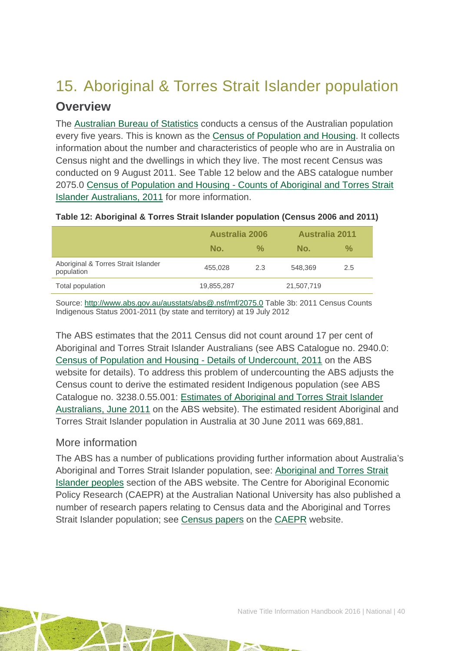## <span id="page-40-0"></span>15. Aboriginal & Torres Strait Islander population

### **Overview**

The [Australian Bureau of Statistics](http://www.abs.gov.au/) conducts a census of the Australian population every five years. This is known as the [Census of Population and Housing.](http://www.abs.gov.au/websitedbs/censushome.nsf/home/what?opendocument&navpos=110) It collects information about the number and characteristics of people who are in Australia on Census night and the dwellings in which they live. The most recent Census was conducted on 9 August 2011. See Table 12 below and the ABS catalogue number 2075.0 Census of Population and Housing - [Counts of Aboriginal and Torres Strait](http://www.abs.gov.au/ausstats/abs@.nsf/Lookup/2075.0main+features32011)  [Islander Australians, 2011](http://www.abs.gov.au/ausstats/abs@.nsf/Lookup/2075.0main+features32011) for more information.

|                                                   | <b>Australia 2006</b> |               | <b>Australia 2011</b> |     |
|---------------------------------------------------|-----------------------|---------------|-----------------------|-----|
|                                                   | No.                   | $\frac{0}{2}$ | No.                   | %   |
| Aboriginal & Torres Strait Islander<br>population | 455,028               | 2.3           | 548.369               | 2.5 |
| Total population                                  | 19,855,287            |               | 21,507,719            |     |

#### **Table 12: Aboriginal & Torres Strait Islander population (Census 2006 and 2011)**

Source:<http://www.abs.gov.au/ausstats/abs@.nsf/mf/2075.0> Table 3b: 2011 Census Counts Indigenous Status 2001-2011 (by state and territory) at 19 July 2012

The ABS estimates that the 2011 Census did not count around 17 per cent of Aboriginal and Torres Strait Islander Australians (see ABS Catalogue no. 2940.0: [Census of Population and Housing -](http://www.abs.gov.au/ausstats/abs@.nsf/%20mf/2940.0) Details of Undercount, 2011 on the ABS website for details). To address this problem of undercounting the ABS adjusts the Census count to derive the estimated resident Indigenous population (see ABS Catalogue no. 3238.0.55.001: [Estimates of Aboriginal and Torres Strait Islander](http://www.abs.gov.au/AUSSTATS/abs@.nsf/Lookup/3238.0.55.001Main+Features1June%202011?OpenDocument)  [Australians, June 2011](http://www.abs.gov.au/AUSSTATS/abs@.nsf/Lookup/3238.0.55.001Main+Features1June%202011?OpenDocument) on the ABS website). The estimated resident Aboriginal and Torres Strait Islander population in Australia at 30 June 2011 was 669,881.

#### More information

The ABS has a number of publications providing further information about Australia's Aboriginal and Torres Strait Islander population, see: [Aboriginal and Torres Strait](http://www.abs.gov.au/websitedbs/c311215.nsf/web/Aboriginal+and+Torres+Strait+Islander+Peoples)  [Islander peoples](http://www.abs.gov.au/websitedbs/c311215.nsf/web/Aboriginal+and+Torres+Strait+Islander+Peoples) section of the ABS website. The Centre for Aboriginal Economic Policy Research (CAEPR) at the Australian National University has also published a number of research papers relating to Census data and the Aboriginal and Torres Strait Islander population; see [Census papers](http://caepr.anu.edu.au/publications/censuspapers.php) on the [CAEPR](http://caepr.anu.edu.au/) website.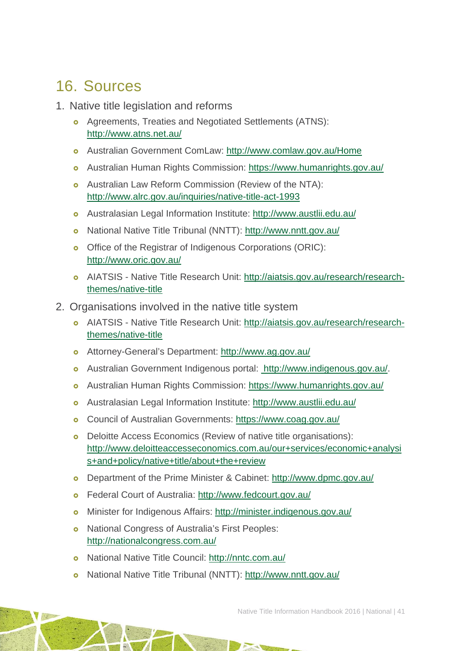## <span id="page-41-0"></span>16. Sources

- 1. Native title legislation and reforms
	- o Agreements, Treaties and Negotiated Settlements (ATNS): <http://www.atns.net.au/>
	- Australian Government ComLaw:<http://www.comlaw.gov.au/Home>
	- Australian Human Rights Commission:<https://www.humanrights.gov.au/>
	- Australian Law Reform Commission (Review of the NTA): <http://www.alrc.gov.au/inquiries/native-title-act-1993>
	- Australasian Legal Information Institute:<http://www.austlii.edu.au/>
	- National Native Title Tribunal (NNTT):<http://www.nntt.gov.au/>
	- o Office of the Registrar of Indigenous Corporations (ORIC): <http://www.oric.gov.au/>
	- AIATSIS Native Title Research Unit: [http://aiatsis.gov.au/research/research](http://aiatsis.gov.au/research/research-themes/native-title)[themes/native-title](http://aiatsis.gov.au/research/research-themes/native-title)
- 2. Organisations involved in the native title system
	- AIATSIS Native Title Research Unit: [http://aiatsis.gov.au/research/research](http://aiatsis.gov.au/research/research-themes/native-title)[themes/native-title](http://aiatsis.gov.au/research/research-themes/native-title)
	- Attorney-General's Department:<http://www.ag.gov.au/>
	- Australian Government Indigenous portal: [http://www.indigenous.gov.au/.](http://www.indigenous.gov.au/)
	- Australian Human Rights Commission:<https://www.humanrights.gov.au/>
	- Australasian Legal Information Institute:<http://www.austlii.edu.au/>
	- Council of Australian Governments:<https://www.coag.gov.au/>
	- Deloitte Access Economics (Review of native title organisations): [http://www.deloitteaccesseconomics.com.au/our+services/economic+analysi](http://www.deloitteaccesseconomics.com.au/our+services/economic+analysis+and+policy/native+title/about+the+review) [s+and+policy/native+title/about+the+review](http://www.deloitteaccesseconomics.com.au/our+services/economic+analysis+and+policy/native+title/about+the+review)
	- Department of the Prime Minister & Cabinet:<http://www.dpmc.gov.au/>
	- Federal Court of Australia:<http://www.fedcourt.gov.au/>
	- Minister for Indigenous Affairs:<http://minister.indigenous.gov.au/>
	- **o** National Congress of Australia's First Peoples: <http://nationalcongress.com.au/>
	- National Native Title Council:<http://nntc.com.au/>
	- o National Native Title Tribunal (NNTT):<http://www.nntt.gov.au/>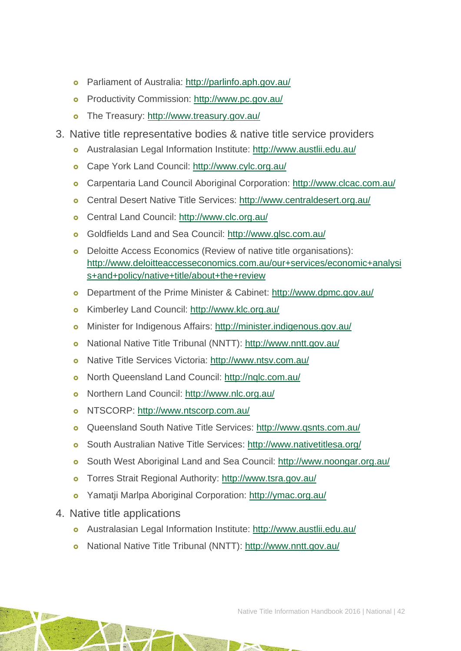- Parliament of Australia: [http://parlinfo.aph.gov.au/](http://parlinfo.aph.gov.au/parlInfo/search/search.w3p)
- Productivity Commission:<http://www.pc.gov.au/>
- The Treasury:<http://www.treasury.gov.au/>
- 3. Native title representative bodies & native title service providers
	- Australasian Legal Information Institute:<http://www.austlii.edu.au/>
	- o Cape York Land Council:<http://www.cylc.org.au/>
	- Carpentaria Land Council Aboriginal Corporation:<http://www.clcac.com.au/>
	- Central Desert Native Title Services: <http://www.centraldesert.org.au/>
	- Central Land Council:<http://www.clc.org.au/>
	- Goldfields Land and Sea Council:<http://www.glsc.com.au/>
	- Deloitte Access Economics (Review of native title organisations): [http://www.deloitteaccesseconomics.com.au/our+services/economic+analysi](http://www.deloitteaccesseconomics.com.au/our+services/economic+analysis+and+policy/native+title/about+the+review) [s+and+policy/native+title/about+the+review](http://www.deloitteaccesseconomics.com.au/our+services/economic+analysis+and+policy/native+title/about+the+review)
	- Department of the Prime Minister & Cabinet:<http://www.dpmc.gov.au/>
	- Kimberley Land Council:<http://www.klc.org.au/>
	- Minister for Indigenous Affairs:<http://minister.indigenous.gov.au/>
	- National Native Title Tribunal (NNTT):<http://www.nntt.gov.au/>
	- Native Title Services Victoria:<http://www.ntsv.com.au/>
	- North Queensland Land Council:<http://nqlc.com.au/>
	- Northern Land Council:<http://www.nlc.org.au/>
	- o NTSCORP:<http://www.ntscorp.com.au/>
	- Queensland South Native Title Services:<http://www.qsnts.com.au/>
	- South Australian Native Title Services:<http://www.nativetitlesa.org/>
	- South West Aboriginal Land and Sea Council:<http://www.noongar.org.au/>
	- Torres Strait Regional Authority:<http://www.tsra.gov.au/>
	- Yamatji Marlpa Aboriginal Corporation: <http://ymac.org.au/>
- 4. Native title applications
	- Australasian Legal Information Institute:<http://www.austlii.edu.au/>
	- National Native Title Tribunal (NNTT):<http://www.nntt.gov.au/>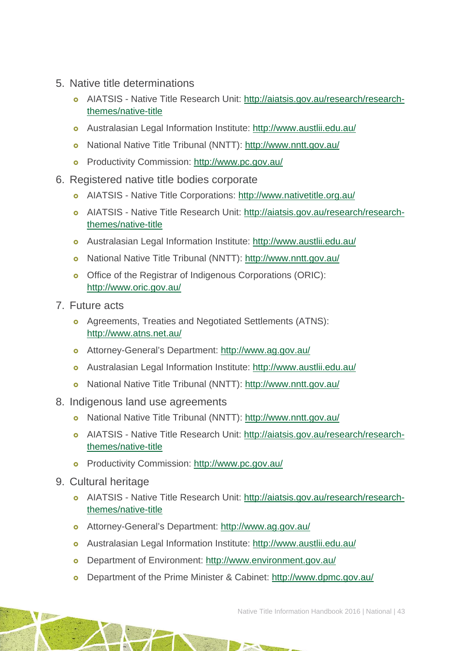- 5. Native title determinations
	- AIATSIS Native Title Research Unit: [http://aiatsis.gov.au/research/research](http://aiatsis.gov.au/research/research-themes/native-title)[themes/native-title](http://aiatsis.gov.au/research/research-themes/native-title)
	- Australasian Legal Information Institute:<http://www.austlii.edu.au/>
	- National Native Title Tribunal (NNTT):<http://www.nntt.gov.au/>
	- o Productivity Commission:<http://www.pc.gov.au/>
- 6. Registered native title bodies corporate
	- AIATSIS Native Title Corporations:<http://www.nativetitle.org.au/>
	- AIATSIS Native Title Research Unit: [http://aiatsis.gov.au/research/research](http://aiatsis.gov.au/research/research-themes/native-title)[themes/native-title](http://aiatsis.gov.au/research/research-themes/native-title)
	- Australasian Legal Information Institute:<http://www.austlii.edu.au/>
	- National Native Title Tribunal (NNTT):<http://www.nntt.gov.au/>
	- o Office of the Registrar of Indigenous Corporations (ORIC): <http://www.oric.gov.au/>
- 7. Future acts
	- Agreements, Treaties and Negotiated Settlements (ATNS): <http://www.atns.net.au/>
	- Attorney-General's Department:<http://www.ag.gov.au/>
	- Australasian Legal Information Institute:<http://www.austlii.edu.au/>
	- National Native Title Tribunal (NNTT):<http://www.nntt.gov.au/>
- 8. Indigenous land use agreements
	- National Native Title Tribunal (NNTT):<http://www.nntt.gov.au/>
	- AIATSIS Native Title Research Unit: [http://aiatsis.gov.au/research/research](http://aiatsis.gov.au/research/research-themes/native-title)[themes/native-title](http://aiatsis.gov.au/research/research-themes/native-title)
	- Productivity Commission:<http://www.pc.gov.au/>
- 9. Cultural heritage
	- AIATSIS Native Title Research Unit: [http://aiatsis.gov.au/research/research](http://aiatsis.gov.au/research/research-themes/native-title)[themes/native-title](http://aiatsis.gov.au/research/research-themes/native-title)
	- Attorney-General's Department:<http://www.ag.gov.au/>
	- Australasian Legal Information Institute:<http://www.austlii.edu.au/>
	- Department of Environment:<http://www.environment.gov.au/>
	- Department of the Prime Minister & Cabinet:<http://www.dpmc.gov.au/>